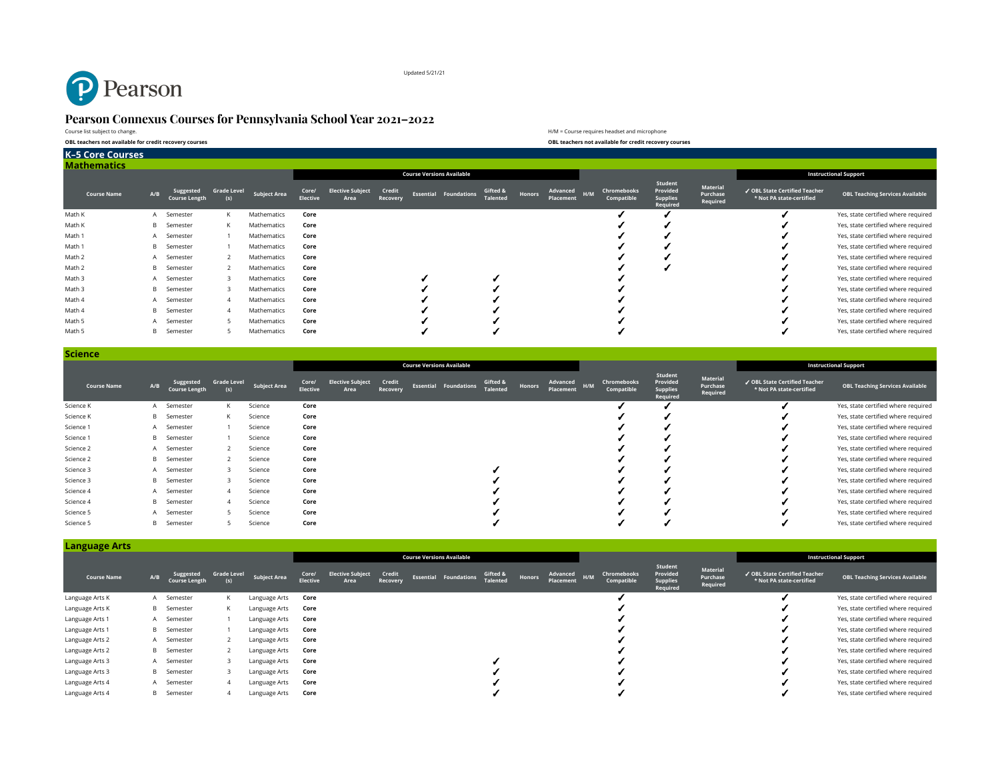

Updated 5/21/21

# **Pearson Connexus Courses for Pennsylvania School Year 2021–2022**

Course list subject to change. **OBL teachers not available for credit recovery courses OBL teachers not available for credit recovery courses**

| H/M = Course requires headset and microphone           |
|--------------------------------------------------------|
| OBL teachers not available for credit recovery courses |

| <b>K-5 Core Courses</b> |     |                                   |                           |                     |                   |                                 |                    |  |                                  |                             |        |                       |     |                           |                                                    |                                  |                                                           |                                        |
|-------------------------|-----|-----------------------------------|---------------------------|---------------------|-------------------|---------------------------------|--------------------|--|----------------------------------|-----------------------------|--------|-----------------------|-----|---------------------------|----------------------------------------------------|----------------------------------|-----------------------------------------------------------|----------------------------------------|
| <b>Mathematics</b>      |     |                                   |                           |                     |                   |                                 |                    |  |                                  |                             |        |                       |     |                           |                                                    |                                  |                                                           |                                        |
|                         |     |                                   |                           |                     |                   |                                 |                    |  | <b>Course Versions Available</b> |                             |        |                       |     |                           |                                                    |                                  |                                                           | <b>Instructional Support</b>           |
| <b>Course Name</b>      | A/B | Suggested<br><b>Course Length</b> | <b>Grade Level</b><br>(s) | <b>Subject Area</b> | Core/<br>Elective | <b>Elective Subject</b><br>Area | Credit<br>Recovery |  | <b>Essential Foundations</b>     | Gifted &<br><b>Talented</b> | Honors | Advanced<br>Placement | H/M | Chromebooks<br>Compatible | Student<br>Provided<br><b>Supplies</b><br>Required | Material<br>Purchase<br>Required | √ OBL State Certified Teacher<br>* Not PA state-certified | <b>OBL Teaching Services Available</b> |
| Math K                  | A   | Semester                          | К                         | Mathematics         | Core              |                                 |                    |  |                                  |                             |        |                       |     |                           |                                                    |                                  |                                                           | Yes, state certified where required    |
| Math K                  | B   | Semester                          | К                         | Mathematics         | Core              |                                 |                    |  |                                  |                             |        |                       |     |                           |                                                    |                                  |                                                           | Yes, state certified where required    |
| Math 1                  | A   | Semester                          |                           | Mathematics         | Core              |                                 |                    |  |                                  |                             |        |                       |     |                           |                                                    |                                  |                                                           | Yes, state certified where required    |
| Math 1                  | B   | Semester                          |                           | Mathematics         | Core              |                                 |                    |  |                                  |                             |        |                       |     |                           |                                                    |                                  |                                                           | Yes, state certified where required    |
| Math 2                  |     | A Semester                        |                           | Mathematics         | Core              |                                 |                    |  |                                  |                             |        |                       |     |                           |                                                    |                                  |                                                           | Yes, state certified where required    |
| Math 2                  | B   | Semester                          |                           | Mathematics         | Core              |                                 |                    |  |                                  |                             |        |                       |     |                           |                                                    |                                  |                                                           | Yes, state certified where required    |
| Math 3                  |     | A Semester                        |                           | Mathematics         | Core              |                                 |                    |  |                                  |                             |        |                       |     |                           |                                                    |                                  |                                                           | Yes, state certified where required    |
| Math 3                  | B   | Semester                          |                           | Mathematics         | Core              |                                 |                    |  |                                  |                             |        |                       |     |                           |                                                    |                                  |                                                           | Yes, state certified where required    |
| Math 4                  |     | A Semester                        |                           | Mathematics         | Core              |                                 |                    |  |                                  |                             |        |                       |     |                           |                                                    |                                  |                                                           | Yes, state certified where required    |
| Math 4                  | B   | Semester                          |                           | Mathematics         | Core              |                                 |                    |  |                                  |                             |        |                       |     |                           |                                                    |                                  |                                                           | Yes, state certified where required    |
| Math 5                  |     | A Semester                        |                           | Mathematics         | Core              |                                 |                    |  |                                  |                             |        |                       |     |                           |                                                    |                                  |                                                           | Yes, state certified where required    |
| Math 5                  | B   | Semester                          |                           | Mathematics         | Core              |                                 |                    |  |                                  |                             |        |                       |     |                           |                                                    |                                  |                                                           | Yes, state certified where required    |

| <b>Science</b>     |     |                                   |                           |                     |                          |                                 |                    |                                  |                              |                             |               |                       |     |                           |                                                    |                                  |                                                           |                                        |
|--------------------|-----|-----------------------------------|---------------------------|---------------------|--------------------------|---------------------------------|--------------------|----------------------------------|------------------------------|-----------------------------|---------------|-----------------------|-----|---------------------------|----------------------------------------------------|----------------------------------|-----------------------------------------------------------|----------------------------------------|
|                    |     |                                   |                           |                     |                          |                                 |                    | <b>Course Versions Available</b> |                              |                             |               |                       |     |                           |                                                    |                                  |                                                           | <b>Instructional Support</b>           |
| <b>Course Name</b> | A/B | Suggested<br><b>Course Length</b> | <b>Grade Level</b><br>(s) | <b>Subject Area</b> | Core/<br><b>Elective</b> | <b>Elective Subject</b><br>Area | Credit<br>Recovery |                                  | <b>Essential Foundations</b> | Gifted &<br><b>Talented</b> | <b>Honors</b> | Advanced<br>Placement | H/M | Chromebooks<br>Compatible | Student<br>Provided<br><b>Supplies</b><br>Required | Material<br>Purchase<br>Required | √ OBL State Certified Teacher<br>* Not PA state-certified | <b>OBL Teaching Services Available</b> |
| Science K          |     | A Semester                        | К                         | Science             | Core                     |                                 |                    |                                  |                              |                             |               |                       |     |                           |                                                    |                                  |                                                           | Yes, state certified where required    |
| Science K          |     | <b>B</b> Semester                 | К                         | Science             | Core                     |                                 |                    |                                  |                              |                             |               |                       |     |                           |                                                    |                                  |                                                           | Yes, state certified where required    |
| Science 1          |     | A Semester                        |                           | Science             | Core                     |                                 |                    |                                  |                              |                             |               |                       |     |                           |                                                    |                                  |                                                           | Yes, state certified where required    |
| Science 1          |     | <b>B</b> Semester                 |                           | Science             | Core                     |                                 |                    |                                  |                              |                             |               |                       |     |                           |                                                    |                                  |                                                           | Yes, state certified where required    |
| Science 2          |     | A Semester                        |                           | Science             | Core                     |                                 |                    |                                  |                              |                             |               |                       |     |                           |                                                    |                                  |                                                           | Yes, state certified where required    |
| Science 2          |     | <b>B</b> Semester                 |                           | Science             | Core                     |                                 |                    |                                  |                              |                             |               |                       |     |                           |                                                    |                                  |                                                           | Yes, state certified where required    |
| Science 3          |     | A Semester                        |                           | Science             | Core                     |                                 |                    |                                  |                              |                             |               |                       |     |                           |                                                    |                                  |                                                           | Yes, state certified where required    |
| Science 3          |     | <b>B</b> Semester                 |                           | Science             | Core                     |                                 |                    |                                  |                              |                             |               |                       |     |                           |                                                    |                                  |                                                           | Yes, state certified where required    |
| Science 4          |     | A Semester                        |                           | Science             | Core                     |                                 |                    |                                  |                              |                             |               |                       |     |                           |                                                    |                                  |                                                           | Yes, state certified where required    |
| Science 4          | B.  | Semester                          |                           | Science             | Core                     |                                 |                    |                                  |                              |                             |               |                       |     |                           |                                                    |                                  |                                                           | Yes, state certified where required    |
| Science 5          |     | Semester                          |                           | Science             | Core                     |                                 |                    |                                  |                              |                             |               |                       |     |                           |                                                    |                                  |                                                           | Yes, state certified where required    |
| Science 5          | B   | Semester                          |                           | Science             | Core                     |                                 |                    |                                  |                              |                             |               |                       |     |                           |                                                    |                                  |                                                           | Yes, state certified where required    |

| <b>Language Arts</b> |     |                                   |                    |                     |                          |                                  |                    |  |                              |                             |        |                       |     |                           |                                                    |                                  |                                                           |                                        |
|----------------------|-----|-----------------------------------|--------------------|---------------------|--------------------------|----------------------------------|--------------------|--|------------------------------|-----------------------------|--------|-----------------------|-----|---------------------------|----------------------------------------------------|----------------------------------|-----------------------------------------------------------|----------------------------------------|
|                      |     |                                   |                    |                     |                          | <b>Course Versions Available</b> |                    |  |                              |                             |        |                       |     |                           |                                                    |                                  |                                                           | <b>Instructional Support</b>           |
| <b>Course Name</b>   | A/B | Suggested<br><b>Course Length</b> | <b>Grade Level</b> | <b>Subject Area</b> | Core/<br><b>Elective</b> | <b>Elective Subject</b><br>Area  | Credit<br>Recovery |  | <b>Essential Foundations</b> | Gifted &<br><b>Talented</b> | Honors | Advanced<br>Placement | H/M | Chromebooks<br>Compatible | Student<br>Provided<br><b>Supplies</b><br>Required | Material<br>Purchase<br>Required | √ OBL State Certified Teacher<br>* Not PA state-certified | <b>OBL Teaching Services Available</b> |
| Language Arts K      |     | A Semester                        | К                  | Language Arts       | Core                     |                                  |                    |  |                              |                             |        |                       |     |                           |                                                    |                                  |                                                           | Yes, state certified where required    |
| Language Arts K      |     | <b>B</b> Semester                 | К                  | Language Arts       | Core                     |                                  |                    |  |                              |                             |        |                       |     |                           |                                                    |                                  |                                                           | Yes, state certified where required    |
| Language Arts 1      |     | A Semester                        |                    | Language Arts       | Core                     |                                  |                    |  |                              |                             |        |                       |     |                           |                                                    |                                  |                                                           | Yes, state certified where required    |
| Language Arts 1      |     | <b>B</b> Semester                 |                    | Language Arts       | Core                     |                                  |                    |  |                              |                             |        |                       |     |                           |                                                    |                                  |                                                           | Yes, state certified where required    |
| Language Arts 2      |     | A Semester                        |                    | Language Arts       | Core                     |                                  |                    |  |                              |                             |        |                       |     |                           |                                                    |                                  |                                                           | Yes, state certified where required    |
| Language Arts 2      |     | <b>B</b> Semester                 |                    | Language Arts       | Core                     |                                  |                    |  |                              |                             |        |                       |     |                           |                                                    |                                  |                                                           | Yes, state certified where required    |
| Language Arts 3      |     | A Semester                        |                    | Language Arts       | Core                     |                                  |                    |  |                              |                             |        |                       |     |                           |                                                    |                                  |                                                           | Yes, state certified where required    |
| Language Arts 3      |     | <b>B</b> Semester                 |                    | Language Arts       | Core                     |                                  |                    |  |                              |                             |        |                       |     |                           |                                                    |                                  |                                                           | Yes, state certified where required    |
| Language Arts 4      |     | A Semester                        |                    | Language Arts       | Core                     |                                  |                    |  |                              |                             |        |                       |     |                           |                                                    |                                  |                                                           | Yes, state certified where required    |
| Language Arts 4      | в   | Semester                          |                    | Language Arts       | Core                     |                                  |                    |  |                              |                             |        |                       |     |                           |                                                    |                                  |                                                           | Yes, state certified where required    |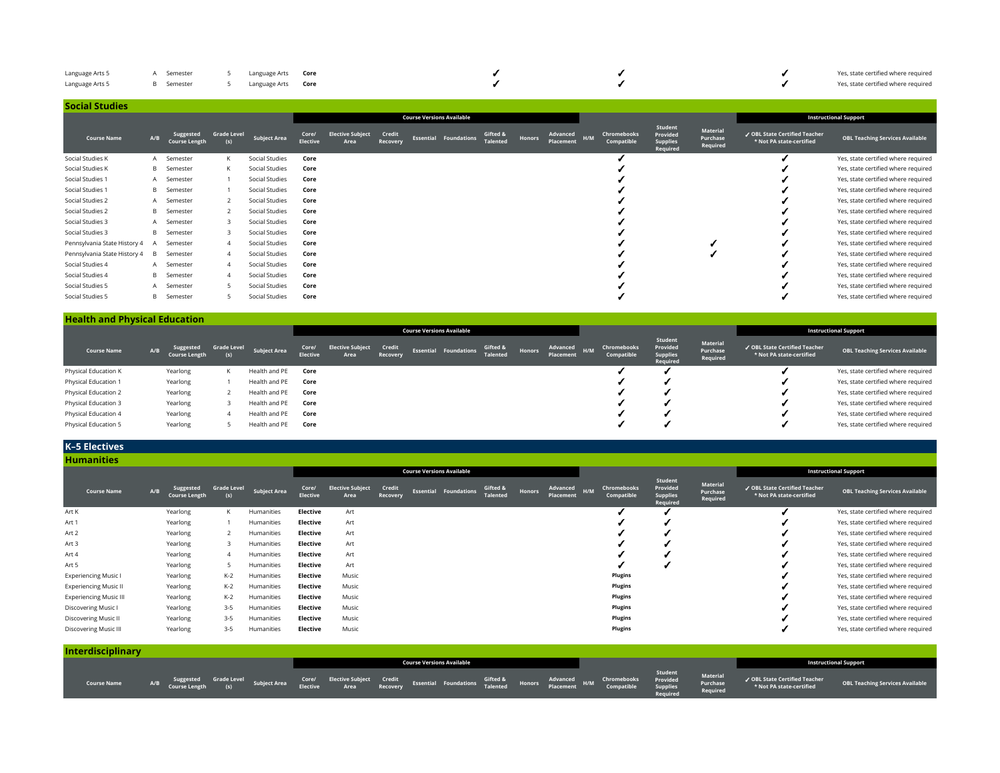| Language Arts 5 | A Semester 5 Language Arts Core |  |  |  | Yes, state certified where required |
|-----------------|---------------------------------|--|--|--|-------------------------------------|
| Language Arts 5 | B Semester 5 Language Arts Core |  |  |  | Yes, state certified where required |

| <b>Social Studies</b>        |              |                                   |                           |                                  |                          |                                 |                    |  |                              |                             |        |                              |     |                              |                                                    |                                  |                                                           |                                        |
|------------------------------|--------------|-----------------------------------|---------------------------|----------------------------------|--------------------------|---------------------------------|--------------------|--|------------------------------|-----------------------------|--------|------------------------------|-----|------------------------------|----------------------------------------------------|----------------------------------|-----------------------------------------------------------|----------------------------------------|
|                              |              |                                   |                           | <b>Course Versions Available</b> |                          |                                 |                    |  |                              |                             |        |                              |     | <b>Instructional Support</b> |                                                    |                                  |                                                           |                                        |
| <b>Course Name</b>           | A/B          | Suggested<br><b>Course Length</b> | <b>Grade Level</b><br>(s) | <b>Subject Area</b>              | Core/<br><b>Elective</b> | <b>Elective Subject</b><br>Area | Credit<br>Recovery |  | <b>Essential Foundations</b> | Gifted &<br><b>Talented</b> | Honors | <b>Advanced</b><br>Placement | H/M | Chromebooks<br>Compatible    | Student<br>Provided<br><b>Supplies</b><br>Required | Material<br>Purchase<br>Required | ✔ OBL State Certified Teacher<br>* Not PA state-certified | <b>OBL Teaching Services Available</b> |
| Social Studies K             |              | A Semester                        | К                         | Social Studies                   | Core                     |                                 |                    |  |                              |                             |        |                              |     |                              |                                                    |                                  |                                                           | Yes, state certified where required    |
| Social Studies K             |              | <b>B</b> Semester                 | К                         | Social Studies                   | Core                     |                                 |                    |  |                              |                             |        |                              |     |                              |                                                    |                                  |                                                           | Yes, state certified where required    |
| Social Studies 1             |              | A Semester                        |                           | Social Studies                   | Core                     |                                 |                    |  |                              |                             |        |                              |     |                              |                                                    |                                  |                                                           | Yes, state certified where required    |
| Social Studies 1             |              | <b>B</b> Semester                 |                           | Social Studies                   | Core                     |                                 |                    |  |                              |                             |        |                              |     |                              |                                                    |                                  |                                                           | Yes, state certified where required    |
| Social Studies 2             |              | A Semester                        |                           | Social Studies                   | Core                     |                                 |                    |  |                              |                             |        |                              |     |                              |                                                    |                                  |                                                           | Yes, state certified where required    |
| Social Studies 2             |              | <b>B</b> Semester                 |                           | Social Studies                   | Core                     |                                 |                    |  |                              |                             |        |                              |     |                              |                                                    |                                  |                                                           | Yes, state certified where required    |
| Social Studies 3             |              | A Semester                        | 3                         | Social Studies                   | Core                     |                                 |                    |  |                              |                             |        |                              |     |                              |                                                    |                                  |                                                           | Yes, state certified where required    |
| Social Studies 3             | B.           | Semester                          | 3                         | Social Studies                   | Core                     |                                 |                    |  |                              |                             |        |                              |     |                              |                                                    |                                  |                                                           | Yes, state certified where required    |
| Pennsylvania State History 4 |              | Semester                          | 4                         | Social Studies                   | Core                     |                                 |                    |  |                              |                             |        |                              |     |                              |                                                    |                                  |                                                           | Yes, state certified where required    |
| Pennsylvania State History 4 | <sub>R</sub> | Semester                          | Δ                         | Social Studies                   | Core                     |                                 |                    |  |                              |                             |        |                              |     |                              |                                                    |                                  |                                                           | Yes, state certified where required    |
| Social Studies 4             |              | A Semester                        | Δ                         | Social Studies                   | Core                     |                                 |                    |  |                              |                             |        |                              |     |                              |                                                    |                                  |                                                           | Yes, state certified where required    |
| Social Studies 4             |              | <b>B</b> Semester                 | $\Delta$                  | Social Studies                   | Core                     |                                 |                    |  |                              |                             |        |                              |     |                              |                                                    |                                  |                                                           | Yes, state certified where required    |
| Social Studies 5             |              | A Semester                        |                           | Social Studies                   | Core                     |                                 |                    |  |                              |                             |        |                              |     |                              |                                                    |                                  |                                                           | Yes, state certified where required    |
| Social Studies 5             | в            | Semester                          |                           | Social Studies                   | Core                     |                                 |                    |  |                              |                             |        |                              |     |                              |                                                    |                                  |                                                           | Yes, state certified where required    |

#### **Health and Physical Education**

|                      |     |                                   |                    |                     | <b>Course Versions Available</b> |                                 |                    |  |                              |                             |        |                       |     |                           |                                                    |                                  |                                                           | <b>Instructional Support</b>           |
|----------------------|-----|-----------------------------------|--------------------|---------------------|----------------------------------|---------------------------------|--------------------|--|------------------------------|-----------------------------|--------|-----------------------|-----|---------------------------|----------------------------------------------------|----------------------------------|-----------------------------------------------------------|----------------------------------------|
| <b>Course Name</b>   | A/B | Suggested<br><b>Course Length</b> | <b>Grade Level</b> | <b>Subject Area</b> | Core/<br><b>Elective</b>         | <b>Elective Subject</b><br>Area | Credit<br>Recovery |  | <b>Essential Foundations</b> | Gifted &<br><b>Talented</b> | Honors | Advanced<br>Placement | H/M | Chromebooks<br>Compatible | Student<br>Provided<br><b>Supplies</b><br>Required | Material<br>Purchase<br>Required | √ OBL State Certified Teacher<br>* Not PA state-certified | <b>OBL Teaching Services Available</b> |
| Physical Education K |     | Yearlong                          | К                  | Health and PE       | Core                             |                                 |                    |  |                              |                             |        |                       |     |                           |                                                    |                                  |                                                           | Yes, state certified where required    |
| Physical Education 1 |     | Yearlong                          |                    | Health and PE       | Core                             |                                 |                    |  |                              |                             |        |                       |     |                           |                                                    |                                  |                                                           | Yes, state certified where required    |
| Physical Education 2 |     | Yearlong                          |                    | Health and PE       | Core                             |                                 |                    |  |                              |                             |        |                       |     |                           |                                                    |                                  |                                                           | Yes, state certified where required    |
| Physical Education 3 |     | Yearlong                          |                    | Health and PE       | Core                             |                                 |                    |  |                              |                             |        |                       |     |                           |                                                    |                                  |                                                           | Yes, state certified where required    |
| Physical Education 4 |     | Yearlong                          | 4                  | Health and PE       | Core                             |                                 |                    |  |                              |                             |        |                       |     |                           |                                                    |                                  |                                                           | Yes, state certified where required    |
| Physical Education 5 |     | Yearlong                          |                    | Health and PE       | Core                             |                                 |                    |  |                              |                             |        |                       |     |                           |                                                    |                                  |                                                           | Yes, state certified where required    |

# **K–5 Electives**

| <b>Humanities</b>             |     |                                   |                           |                     |                                  |                                 |                    |                              |                             |        |                       |     |                           |                                                    |                                  |                                                           |                                        |
|-------------------------------|-----|-----------------------------------|---------------------------|---------------------|----------------------------------|---------------------------------|--------------------|------------------------------|-----------------------------|--------|-----------------------|-----|---------------------------|----------------------------------------------------|----------------------------------|-----------------------------------------------------------|----------------------------------------|
|                               |     |                                   |                           |                     | <b>Course Versions Available</b> |                                 |                    |                              |                             |        |                       |     |                           |                                                    |                                  |                                                           | <b>Instructional Support</b>           |
| <b>Course Name</b>            | A/B | Suggested<br><b>Course Length</b> | <b>Grade Level</b><br>(s) | <b>Subject Area</b> | Core/<br><b>Elective</b>         | <b>Elective Subject</b><br>Area | Credit<br>Recovery | <b>Essential Foundations</b> | Gifted &<br><b>Talented</b> | Honors | Advanced<br>Placement | H/M | Chromebooks<br>Compatible | Student<br>Provided<br><b>Supplies</b><br>Required | Material<br>Purchase<br>Required | ✔ OBL State Certified Teacher<br>* Not PA state-certified | <b>OBL Teaching Services Available</b> |
| Art K                         |     | Yearlong                          | К                         | Humanities          | <b>Elective</b>                  | Art                             |                    |                              |                             |        |                       |     |                           |                                                    |                                  |                                                           | Yes, state certified where required    |
| Art 1                         |     | Yearlong                          |                           | Humanities          | Elective                         | Art                             |                    |                              |                             |        |                       |     |                           |                                                    |                                  |                                                           | Yes, state certified where required    |
| Art 2                         |     | Yearlong                          |                           | Humanities          | Elective                         | Art                             |                    |                              |                             |        |                       |     |                           |                                                    |                                  |                                                           | Yes, state certified where required    |
| Art 3                         |     | Yearlong                          | $\overline{3}$            | Humanities          | <b>Elective</b>                  | Art                             |                    |                              |                             |        |                       |     |                           |                                                    |                                  |                                                           | Yes, state certified where required    |
| Art 4                         |     | Yearlong                          |                           | Humanities          | Elective                         | Art                             |                    |                              |                             |        |                       |     |                           |                                                    |                                  |                                                           | Yes, state certified where required    |
| Art 5                         |     | Yearlong                          | 5                         | Humanities          | Elective                         | Art                             |                    |                              |                             |        |                       |     |                           |                                                    |                                  |                                                           | Yes, state certified where required    |
| <b>Experiencing Music I</b>   |     | Yearlong                          | K-2                       | Humanities          | Elective                         | Music                           |                    |                              |                             |        |                       |     | Plugins                   |                                                    |                                  |                                                           | Yes, state certified where required    |
| <b>Experiencing Music II</b>  |     | Yearlong                          | K-2                       | Humanities          | Elective                         | Music                           |                    |                              |                             |        |                       |     | <b>Plugins</b>            |                                                    |                                  |                                                           | Yes, state certified where required    |
| <b>Experiencing Music III</b> |     | Yearlong                          | K-2                       | Humanities          | Elective                         | Music                           |                    |                              |                             |        |                       |     | <b>Plugins</b>            |                                                    |                                  |                                                           | Yes, state certified where required    |
| Discovering Music I           |     | Yearlong                          | $3 - 5$                   | Humanities          | Elective                         | Music                           |                    |                              |                             |        |                       |     | <b>Plugins</b>            |                                                    |                                  |                                                           | Yes, state certified where required    |
| Discovering Music II          |     | Yearlong                          | $3 - 5$                   | Humanities          | <b>Elective</b>                  | Music                           |                    |                              |                             |        |                       |     | <b>Plugins</b>            |                                                    |                                  |                                                           | Yes, state certified where required    |
| <b>Discovering Music III</b>  |     | Yearlong                          | $3 - 5$                   | Humanities          | Elective                         | Music                           |                    |                              |                             |        |                       |     | <b>Plugins</b>            |                                                    |                                  |                                                           | Yes, state certified where required    |

| <b>Interdisciplinary</b> |  |  |  |                                                                                                                                                                                                                                      |  |  |                     |  |                                                                                                |
|--------------------------|--|--|--|--------------------------------------------------------------------------------------------------------------------------------------------------------------------------------------------------------------------------------------|--|--|---------------------|--|------------------------------------------------------------------------------------------------|
|                          |  |  |  | <b>Course Versions Available</b>                                                                                                                                                                                                     |  |  |                     |  | <b>Instructional Support</b>                                                                   |
| <b>Course Name</b>       |  |  |  | A/B Suggested GradeLevel Subject Area<br>A/B Course Length (s) Subject Area Elective Area Recovery Essential Foundations Gifted & Honors Advanced H/M Chromebooks Provided Material<br>Course Length (s) Subject Area Recovery Essen |  |  | Student<br>Required |  | ↓ OBL State Certified Teacher<br>★ Not PA state-certified      OBL Teaching Services Available |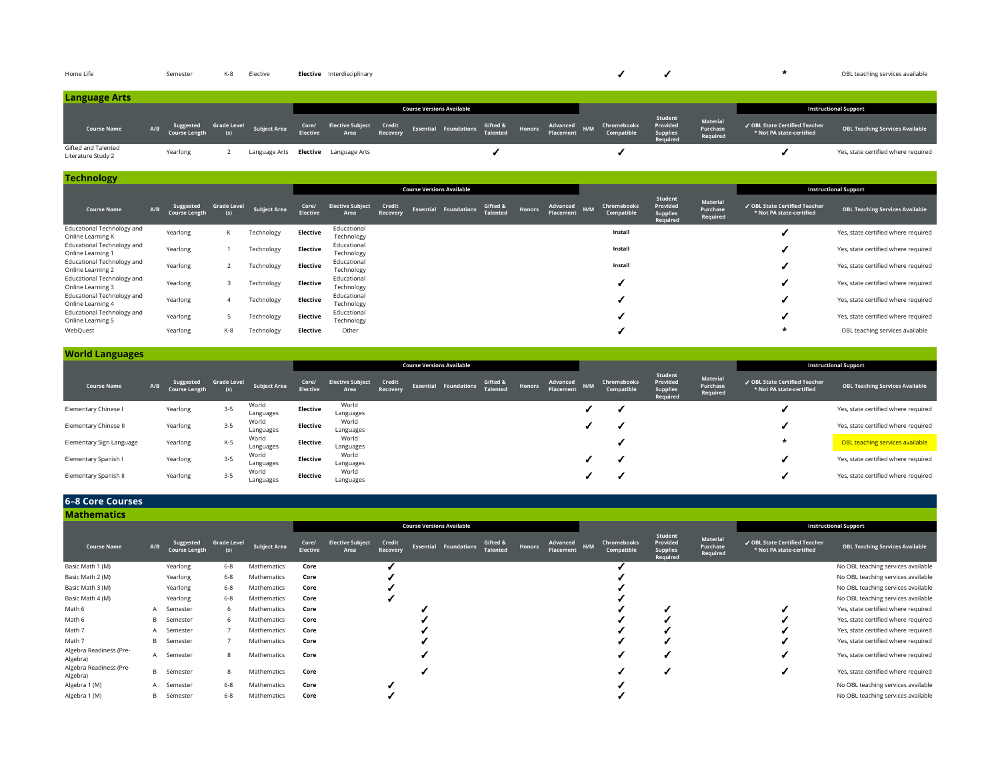| Home Life                                 |     | Semester                          | K-8                       | Elective     | <b>Elective</b> Interdisciplinary           |  |                                  |  |  |                                             |                                  |                                                           | OBL teaching services available        |
|-------------------------------------------|-----|-----------------------------------|---------------------------|--------------|---------------------------------------------|--|----------------------------------|--|--|---------------------------------------------|----------------------------------|-----------------------------------------------------------|----------------------------------------|
| <b>Language Arts</b>                      |     |                                   |                           |              |                                             |  |                                  |  |  |                                             |                                  |                                                           |                                        |
|                                           |     |                                   |                           |              |                                             |  | <b>Course Versions Available</b> |  |  |                                             |                                  |                                                           | <b>Instructional Support</b>           |
| <b>Course Name</b>                        | A/B | Suggested<br><b>Course Length</b> | <b>Grade Level</b><br>(s) | Subject Area |                                             |  |                                  |  |  | Student<br>Provided<br>Supplies<br>Required | Material<br>Purchase<br>Required | √ OBL State Certified Teacher<br>* Not PA state-certified | <b>OBL Teaching Services Available</b> |
| Gifted and Talented<br>Literature Study 2 |     | Yearlong                          |                           |              | Language Arts <b>Elective</b> Language Arts |  |                                  |  |  |                                             |                                  |                                                           | Yes, state certified where required    |

| <b>Technology</b>                               |     |                                   |                           |                     |                          |                                 |                    |                                  |                             |               |                       |     |                           |                                                    |                                  |                                                           |                                        |
|-------------------------------------------------|-----|-----------------------------------|---------------------------|---------------------|--------------------------|---------------------------------|--------------------|----------------------------------|-----------------------------|---------------|-----------------------|-----|---------------------------|----------------------------------------------------|----------------------------------|-----------------------------------------------------------|----------------------------------------|
|                                                 |     |                                   |                           |                     |                          |                                 |                    | <b>Course Versions Available</b> |                             |               |                       |     |                           |                                                    |                                  |                                                           | <b>Instructional Support</b>           |
| <b>Course Name</b>                              | A/B | Suggested<br><b>Course Length</b> | <b>Grade Level</b><br>(s) | <b>Subject Area</b> | Core/<br><b>Elective</b> | <b>Elective Subject</b><br>Area | Credit<br>Recovery | <b>Essential Foundations</b>     | Gifted &<br><b>Talented</b> | <b>Honors</b> | Advanced<br>Placement | H/M | Chromebooks<br>Compatible | Student<br>Provided<br><b>Supplies</b><br>Required | Material<br>Purchase<br>Required | ✔ OBL State Certified Teacher<br>* Not PA state-certified | <b>OBL Teaching Services Available</b> |
| Educational Technology and<br>Online Learning K |     | Yearlong                          | K                         | Technology          | <b>Elective</b>          | Educational<br>Technology       |                    |                                  |                             |               |                       |     | Install                   |                                                    |                                  |                                                           | Yes, state certified where required    |
| Educational Technology and<br>Online Learning 1 |     | Yearlong                          |                           | Technology          | Elective                 | Educational<br>Technology       |                    |                                  |                             |               |                       |     | Install                   |                                                    |                                  |                                                           | Yes, state certified where required    |
| Educational Technology and<br>Online Learning 2 |     | Yearlong                          |                           | Technology          | <b>Elective</b>          | Educational<br>Technology       |                    |                                  |                             |               |                       |     | Install                   |                                                    |                                  |                                                           | Yes, state certified where required    |
| Educational Technology and<br>Online Learning 3 |     | Yearlong                          |                           | Technology          | Elective                 | Educational<br>Technology       |                    |                                  |                             |               |                       |     |                           |                                                    |                                  |                                                           | Yes, state certified where required    |
| Educational Technology and<br>Online Learning 4 |     | Yearlong                          | 4                         | Technology          | <b>Elective</b>          | Educational<br>Technology       |                    |                                  |                             |               |                       |     |                           |                                                    |                                  |                                                           | Yes, state certified where required    |
| Educational Technology and<br>Online Learning 5 |     | Yearlong                          |                           | Technology          | <b>Elective</b>          | Educational<br>Technology       |                    |                                  |                             |               |                       |     |                           |                                                    |                                  |                                                           | Yes, state certified where required    |
| WebQuest                                        |     | Yearlong                          | K-8                       | Technology          | <b>Elective</b>          | Other                           |                    |                                  |                             |               |                       |     |                           |                                                    |                                  | $\star$                                                   | OBL teaching services available        |

| <b>World Languages</b>   |                                          |                           |                     |                   |                                 |                    |                                  |                             |        |                       |     |                           |                                                    |                                  |                                                           |                                        |
|--------------------------|------------------------------------------|---------------------------|---------------------|-------------------|---------------------------------|--------------------|----------------------------------|-----------------------------|--------|-----------------------|-----|---------------------------|----------------------------------------------------|----------------------------------|-----------------------------------------------------------|----------------------------------------|
|                          |                                          |                           |                     |                   |                                 |                    | <b>Course Versions Available</b> |                             |        |                       |     |                           |                                                    |                                  |                                                           | <b>Instructional Support</b>           |
| <b>Course Name</b>       | Suggested<br>A/B<br><b>Course Length</b> | <b>Grade Level</b><br>(s) | <b>Subject Area</b> | Core/<br>Elective | <b>Elective Subject</b><br>Area | Credit<br>Recovery | <b>Essential Foundations</b>     | Gifted &<br><b>Talented</b> | Honors | Advanced<br>Placement | H/M | Chromebooks<br>Compatible | Student<br>Provided<br><b>Supplies</b><br>Required | Material<br>Purchase<br>Required | √ OBL State Certified Teacher<br>* Not PA state-certified | <b>OBL Teaching Services Available</b> |
| Elementary Chinese I     | Yearlong                                 | $3 - 5$                   | World<br>Languages  | Elective          | World<br>Languages              |                    |                                  |                             |        |                       |     |                           |                                                    |                                  |                                                           | Yes, state certified where required    |
| Elementary Chinese II    | Yearlong                                 | $3 - 5$                   | World<br>Languages  | Elective          | World<br>Languages              |                    |                                  |                             |        |                       |     |                           |                                                    |                                  |                                                           | Yes, state certified where required    |
| Elementary Sign Language | Yearlong                                 | K-5                       | World<br>Languages  | Elective          | World<br>Languages              |                    |                                  |                             |        |                       |     |                           |                                                    |                                  | *                                                         | OBL teaching services available        |
| Elementary Spanish I     | Yearlong                                 | $3 - 5$                   | World<br>Languages  | Elective          | World<br>Languages              |                    |                                  |                             |        |                       |     |                           |                                                    |                                  |                                                           | Yes, state certified where required    |
| Elementary Spanish II    | Yearlong                                 | $3 - 5$                   | World<br>Languages  | Elective          | World<br>Languages              |                    |                                  |                             |        |                       |     |                           |                                                    |                                  |                                                           | Yes, state certified where required    |

| 6-8 Core Courses                    |     |                                   |                           |                     |                          |                                 |                    |                                  |                      |               |                       |     |                           |                                                           |                                  |                                                           |                                        |
|-------------------------------------|-----|-----------------------------------|---------------------------|---------------------|--------------------------|---------------------------------|--------------------|----------------------------------|----------------------|---------------|-----------------------|-----|---------------------------|-----------------------------------------------------------|----------------------------------|-----------------------------------------------------------|----------------------------------------|
| <b>Mathematics</b>                  |     |                                   |                           |                     |                          |                                 |                    |                                  |                      |               |                       |     |                           |                                                           |                                  |                                                           |                                        |
|                                     |     |                                   |                           |                     |                          |                                 |                    | <b>Course Versions Available</b> |                      |               |                       |     |                           |                                                           |                                  |                                                           | <b>Instructional Support</b>           |
| Course Name                         | A/B | Suggested<br><b>Course Length</b> | <b>Grade Level</b><br>(s) | <b>Subject Area</b> | Core/<br><b>Elective</b> | <b>Elective Subject</b><br>Area | Credit<br>Recovery | <b>Essential Foundations</b>     | Gifted &<br>Talented | <b>Honors</b> | Advanced<br>Placement | H/M | Chromebooks<br>Compatible | Student<br>Provided<br><b>Supplies</b><br><b>Required</b> | Material<br>Purchase<br>Required | √ OBL State Certified Teacher<br>* Not PA state-certified | <b>OBL Teaching Services Available</b> |
| Basic Math 1 (M)                    |     | Yearlong                          | $6 - 8$                   | Mathematics         | Core                     |                                 |                    |                                  |                      |               |                       |     |                           |                                                           |                                  |                                                           | No OBL teaching services available     |
| Basic Math 2 (M)                    |     | Yearlong                          | $6 - 8$                   | Mathematics         | Core                     |                                 |                    |                                  |                      |               |                       |     |                           |                                                           |                                  |                                                           | No OBL teaching services available     |
| Basic Math 3 (M)                    |     | Yearlong                          | $6 - 8$                   | Mathematics         | Core                     |                                 |                    |                                  |                      |               |                       |     |                           |                                                           |                                  |                                                           | No OBL teaching services available     |
| Basic Math 4 (M)                    |     | Yearlong                          | $6 - 8$                   | Mathematics         | Core                     |                                 |                    |                                  |                      |               |                       |     |                           |                                                           |                                  |                                                           | No OBL teaching services available     |
| Math 6                              |     | A Semester                        | -6                        | Mathematics         | Core                     |                                 |                    |                                  |                      |               |                       |     |                           |                                                           |                                  |                                                           | Yes, state certified where required    |
| Math 6                              | B   | Semester                          |                           | Mathematics         | Core                     |                                 |                    |                                  |                      |               |                       |     |                           |                                                           |                                  |                                                           | Yes, state certified where required    |
| Math 7                              | A   | Semester                          |                           | Mathematics         | Core                     |                                 |                    |                                  |                      |               |                       |     |                           |                                                           |                                  |                                                           | Yes, state certified where required    |
| Math 7                              | B   | Semester                          |                           | Mathematics         | Core                     |                                 |                    |                                  |                      |               |                       |     |                           |                                                           |                                  |                                                           | Yes, state certified where required    |
| Algebra Readiness (Pre-<br>Algebra) |     | A Semester                        |                           | Mathematics         | Core                     |                                 |                    |                                  |                      |               |                       |     |                           |                                                           |                                  |                                                           | Yes, state certified where required    |
| Algebra Readiness (Pre-<br>Algebra) | B   | Semester                          | 8                         | Mathematics         | Core                     |                                 |                    |                                  |                      |               |                       |     |                           |                                                           |                                  |                                                           | Yes, state certified where required    |
| Algebra 1 (M)                       |     | Semester                          | $6 - 8$                   | Mathematics         | Core                     |                                 |                    |                                  |                      |               |                       |     |                           |                                                           |                                  |                                                           | No OBL teaching services available     |
| Algebra 1 (M)                       | В   | Semester                          | $6 - 8$                   | Mathematics         | Core                     |                                 |                    |                                  |                      |               |                       |     |                           |                                                           |                                  |                                                           | No OBL teaching services available     |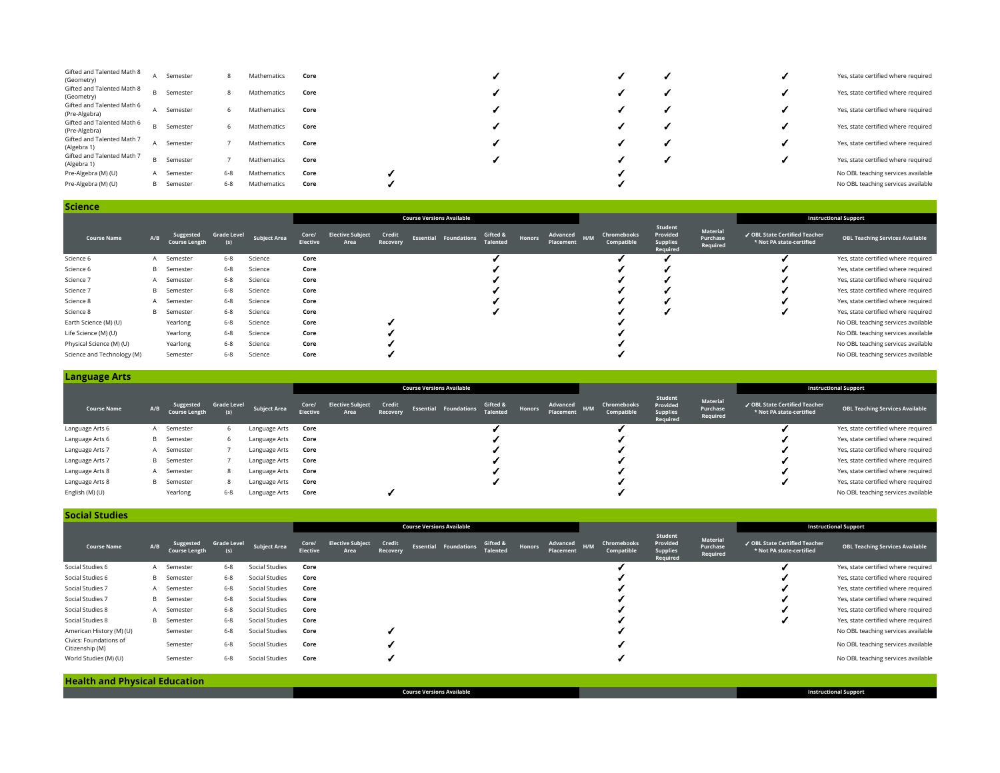| Gifted and Talented Math 8<br>(Geometry)    | Semester          |     | Mathematics | Core |  |  | Yes, state certified where required |
|---------------------------------------------|-------------------|-----|-------------|------|--|--|-------------------------------------|
| Gifted and Talented Math 8<br>(Geometry)    | <b>B</b> Semester |     | Mathematics | Core |  |  | Yes, state certified where required |
| Gifted and Talented Math 6<br>(Pre-Algebra) | Semester          |     | Mathematics | Core |  |  | Yes, state certified where required |
| Gifted and Talented Math 6<br>(Pre-Algebra) | <b>B</b> Semester |     | Mathematics | Core |  |  | Yes, state certified where required |
| Gifted and Talented Math 7<br>(Algebra 1)   | Semester          |     | Mathematics | Core |  |  | Yes, state certified where required |
| Gifted and Talented Math 7<br>(Algebra 1)   | <b>B</b> Semester |     | Mathematics | Core |  |  | Yes, state certified where required |
| Pre-Algebra (M) (U)                         | A Semester        | 6-8 | Mathematics | Core |  |  | No OBL teaching services available  |
| Pre-Algebra (M) (U)                         | <b>B</b> Semester | 6-8 | Mathematics | Core |  |  | No OBL teaching services available  |

| <b>Science</b>             |     |                                   |                           |                     |                          |                                  |                    |  |                              |                             |        |                           |  |                           |                                                    |                                  |                                                           |                                        |
|----------------------------|-----|-----------------------------------|---------------------------|---------------------|--------------------------|----------------------------------|--------------------|--|------------------------------|-----------------------------|--------|---------------------------|--|---------------------------|----------------------------------------------------|----------------------------------|-----------------------------------------------------------|----------------------------------------|
|                            |     |                                   |                           |                     |                          | <b>Course Versions Available</b> |                    |  |                              |                             |        |                           |  |                           |                                                    |                                  |                                                           | <b>Instructional Support</b>           |
| <b>Course Name</b>         | A/B | Suggested<br><b>Course Length</b> | <b>Grade Level</b><br>(s) | <b>Subject Area</b> | Core/<br><b>Elective</b> | <b>Elective Subject</b><br>Area  | Credit<br>Recovery |  | <b>Essential Foundations</b> | Gifted &<br><b>Talented</b> | Honors | Advanced H/M<br>Placement |  | Chromebooks<br>Compatible | Student<br>Provided<br><b>Supplies</b><br>Required | Material<br>Purchase<br>Required | ✔ OBL State Certified Teacher<br>* Not PA state-certified | <b>OBL Teaching Services Available</b> |
| Science 6                  |     | A Semester                        | $6 - 8$                   | Science             | Core                     |                                  |                    |  |                              |                             |        |                           |  |                           |                                                    |                                  |                                                           | Yes, state certified where required    |
| Science 6                  | B   | Semester                          | $6 - 8$                   | Science             | Core                     |                                  |                    |  |                              |                             |        |                           |  |                           |                                                    |                                  |                                                           | Yes, state certified where required    |
| Science 7                  |     | A Semester                        | $6 - 8$                   | Science             | Core                     |                                  |                    |  |                              |                             |        |                           |  |                           |                                                    |                                  |                                                           | Yes, state certified where required    |
| Science 7                  |     | <b>B</b> Semester                 | $6 - 8$                   | Science             | Core                     |                                  |                    |  |                              |                             |        |                           |  |                           |                                                    |                                  |                                                           | Yes, state certified where required    |
| Science 8                  | A   | Semester                          | $6 - 8$                   | Science             | Core                     |                                  |                    |  |                              |                             |        |                           |  |                           |                                                    |                                  |                                                           | Yes, state certified where required    |
| Science 8                  | B   | Semester                          | $6 - 8$                   | Science             | Core                     |                                  |                    |  |                              |                             |        |                           |  |                           |                                                    |                                  |                                                           | Yes, state certified where required    |
| Earth Science (M) (U)      |     | Yearlong                          | $6 - 8$                   | Science             | Core                     |                                  |                    |  |                              |                             |        |                           |  |                           |                                                    |                                  |                                                           | No OBL teaching services available     |
| Life Science (M) (U)       |     | Yearlong                          | $6 - 8$                   | Science             | Core                     |                                  |                    |  |                              |                             |        |                           |  |                           |                                                    |                                  |                                                           | No OBL teaching services available     |
| Physical Science (M) (U)   |     | Yearlong                          | $6 - 8$                   | Science             | Core                     |                                  |                    |  |                              |                             |        |                           |  |                           |                                                    |                                  |                                                           | No OBL teaching services available     |
| Science and Technology (M) |     | Semester                          | $6 - 8$                   | Science             | Core                     |                                  |                    |  |                              |                             |        |                           |  |                           |                                                    |                                  |                                                           | No OBL teaching services available     |

## **Language Arts**

|                    |     |                                   |                    |               | <b>Course Versions Available</b> |                                 |                    |  |                              |                             |        |                       |     |                           |                                                    |                                  |                                                           | <b>Instructional Support</b>           |
|--------------------|-----|-----------------------------------|--------------------|---------------|----------------------------------|---------------------------------|--------------------|--|------------------------------|-----------------------------|--------|-----------------------|-----|---------------------------|----------------------------------------------------|----------------------------------|-----------------------------------------------------------|----------------------------------------|
| <b>Course Name</b> | A/B | Suggested<br><b>Course Length</b> | <b>Grade Level</b> | Subject Area  | Core/<br><b>Elective</b>         | <b>Elective Subject</b><br>Area | Credit<br>Recovery |  | <b>Essential Foundations</b> | Gifted &<br><b>Talented</b> | Honors | Advanced<br>Placement | H/M | Chromebooks<br>Compatible | Student<br>Provided<br><b>Supplies</b><br>Required | Material<br>Purchase<br>Required | ✔ OBL State Certified Teacher<br>* Not PA state-certified | <b>OBL Teaching Services Available</b> |
| Language Arts 6    |     | A Semester                        | 6                  | Language Arts | Core                             |                                 |                    |  |                              |                             |        |                       |     |                           |                                                    |                                  |                                                           | Yes, state certified where required    |
| Language Arts 6    |     | <b>B</b> Semester                 | 6                  | Language Arts | Core                             |                                 |                    |  |                              |                             |        |                       |     |                           |                                                    |                                  |                                                           | Yes, state certified where required    |
| Language Arts 7    |     | A Semester                        |                    | Language Arts | Core                             |                                 |                    |  |                              |                             |        |                       |     |                           |                                                    |                                  |                                                           | Yes, state certified where required    |
| Language Arts 7    |     | <b>B</b> Semester                 |                    | Language Arts | Core                             |                                 |                    |  |                              |                             |        |                       |     |                           |                                                    |                                  |                                                           | Yes, state certified where required    |
| Language Arts 8    |     | A Semester                        | 8                  | Language Arts | Core                             |                                 |                    |  |                              |                             |        |                       |     |                           |                                                    |                                  |                                                           | Yes, state certified where required    |
| Language Arts 8    |     | <b>B</b> Semester                 | 8                  | Language Arts | Core                             |                                 |                    |  |                              |                             |        |                       |     |                           |                                                    |                                  |                                                           | Yes, state certified where required    |
| English (M) (U)    |     | Yearlong                          | $6 - 8$            | Language Arts | Core                             |                                 |                    |  |                              |                             |        |                       |     |                           |                                                    |                                  |                                                           | No OBL teaching services available     |

| <b>Social Studies</b>                     |     |                                   |                           |                     |                          |                                 |                    |                                  |                              |                             |        |                       |     |                           |                                                    |                                  |                                                           |                                        |
|-------------------------------------------|-----|-----------------------------------|---------------------------|---------------------|--------------------------|---------------------------------|--------------------|----------------------------------|------------------------------|-----------------------------|--------|-----------------------|-----|---------------------------|----------------------------------------------------|----------------------------------|-----------------------------------------------------------|----------------------------------------|
|                                           |     |                                   |                           |                     |                          |                                 |                    | <b>Course Versions Available</b> |                              |                             |        |                       |     |                           |                                                    |                                  |                                                           | <b>Instructional Support</b>           |
| Course Name                               | A/B | Suggested<br><b>Course Length</b> | <b>Grade Level</b><br>(s) | <b>Subject Area</b> | Core/<br><b>Elective</b> | <b>Elective Subject</b><br>Area | Credit<br>Recovery |                                  | <b>Essential Foundations</b> | Gifted &<br><b>Talented</b> | Honors | Advanced<br>Placement | H/M | Chromebooks<br>Compatible | Student<br>Provided<br><b>Supplies</b><br>Required | Material<br>Purchase<br>Required | ✔ OBL State Certified Teacher<br>* Not PA state-certified | <b>OBL Teaching Services Available</b> |
| Social Studies 6                          |     | A Semester                        | $6 - 8$                   | Social Studies      | Core                     |                                 |                    |                                  |                              |                             |        |                       |     |                           |                                                    |                                  |                                                           | Yes, state certified where required    |
| Social Studies 6                          |     | <b>B</b> Semester                 | $6 - 8$                   | Social Studies      | Core                     |                                 |                    |                                  |                              |                             |        |                       |     |                           |                                                    |                                  |                                                           | Yes, state certified where required    |
| Social Studies 7                          |     | A Semester                        | $6 - 8$                   | Social Studies      | Core                     |                                 |                    |                                  |                              |                             |        |                       |     |                           |                                                    |                                  |                                                           | Yes, state certified where required    |
| Social Studies 7                          |     | <b>B</b> Semester                 | $6 - 8$                   | Social Studies      | Core                     |                                 |                    |                                  |                              |                             |        |                       |     |                           |                                                    |                                  |                                                           | Yes, state certified where required    |
| Social Studies 8                          |     | A Semester                        | $6 - 8$                   | Social Studies      | Core                     |                                 |                    |                                  |                              |                             |        |                       |     |                           |                                                    |                                  |                                                           | Yes, state certified where required    |
| Social Studies 8                          |     | <b>B</b> Semester                 | $6 - 8$                   | Social Studies      | Core                     |                                 |                    |                                  |                              |                             |        |                       |     |                           |                                                    |                                  |                                                           | Yes, state certified where required    |
| American History (M) (U)                  |     | Semester                          | $6 - 8$                   | Social Studies      | Core                     |                                 |                    |                                  |                              |                             |        |                       |     |                           |                                                    |                                  |                                                           | No OBL teaching services available     |
| Civics: Foundations of<br>Citizenship (M) |     | Semester                          | $6 - 8$                   | Social Studies      | Core                     |                                 |                    |                                  |                              |                             |        |                       |     |                           |                                                    |                                  |                                                           | No OBL teaching services available     |
| World Studies (M) (U)                     |     | Semester                          | $6 - 8$                   | Social Studies      | Core                     |                                 |                    |                                  |                              |                             |        |                       |     |                           |                                                    |                                  |                                                           | No OBL teaching services available     |
|                                           |     |                                   |                           |                     |                          |                                 |                    |                                  |                              |                             |        |                       |     |                           |                                                    |                                  |                                                           |                                        |

**Health and Physical Education Course Versions Available Instructional Support**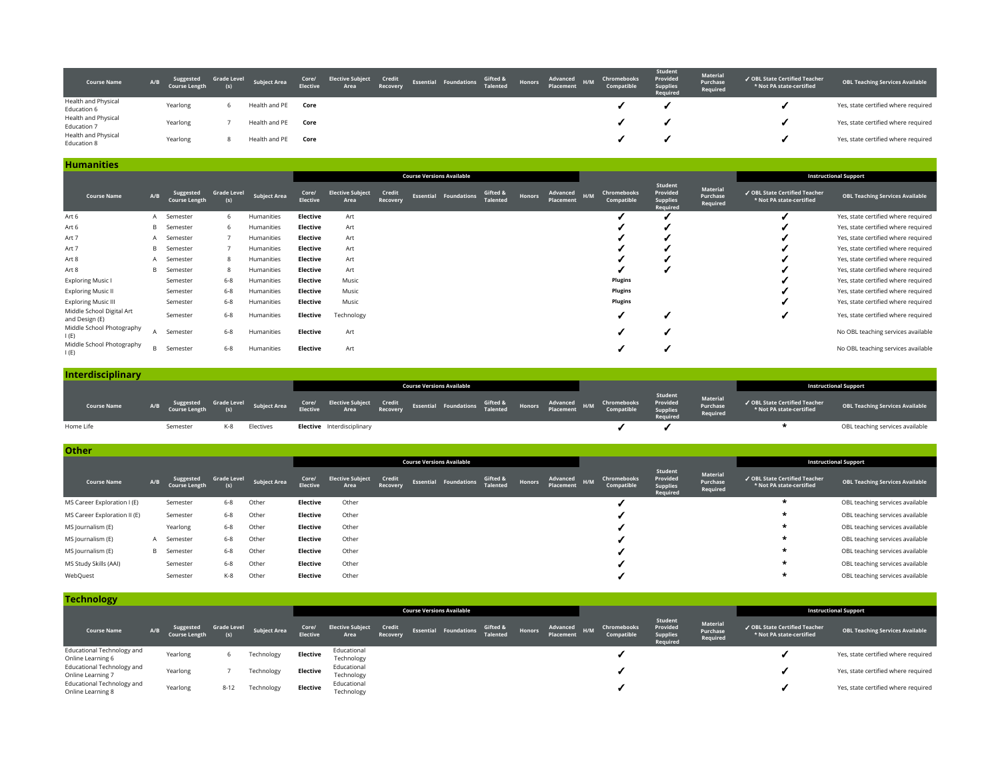| <b>Course Name</b>                 | A/B | Suggested<br>Course Length | <b>Grade Level</b> | Subject Area  |      |  |  |  | Core/ Elective Subject Credit Essential Foundations Gifted & Honors Advanced H/M Chromebooks<br>Elective Area Recovery Essential Foundations Talented Honors Placement Compatible | Student<br>Provided<br>Supplies<br>Reauired | <b>Material</b><br>Purchase<br>Required | ✔ OBL State Certified Teacher<br>* Not PA state-certified | <b>OBL Teaching Services Available</b> |
|------------------------------------|-----|----------------------------|--------------------|---------------|------|--|--|--|-----------------------------------------------------------------------------------------------------------------------------------------------------------------------------------|---------------------------------------------|-----------------------------------------|-----------------------------------------------------------|----------------------------------------|
| Health and Physical<br>Education 6 |     | Yearlong                   |                    | Health and PE | Core |  |  |  |                                                                                                                                                                                   |                                             |                                         |                                                           | Yes, state certified where required    |
| Health and Physical<br>Education 7 |     | Yearlong                   |                    | Health and PE | Core |  |  |  |                                                                                                                                                                                   |                                             |                                         |                                                           | Yes, state certified where required    |
| Health and Physical<br>Education 8 |     | Yearlong                   |                    | Health and PE | Core |  |  |  |                                                                                                                                                                                   |                                             |                                         |                                                           | Yes, state certified where required    |

## **Humanities**

|                                             |     |                                   |                           |                     |                          |                                 |                    | <b>Course Versions Available</b> |                             |               |                              |     |                           |                                                    |                                  |                                                           | <b>Instructional Support</b>           |
|---------------------------------------------|-----|-----------------------------------|---------------------------|---------------------|--------------------------|---------------------------------|--------------------|----------------------------------|-----------------------------|---------------|------------------------------|-----|---------------------------|----------------------------------------------------|----------------------------------|-----------------------------------------------------------|----------------------------------------|
| <b>Course Name</b>                          | A/B | Suggested<br><b>Course Length</b> | <b>Grade Level</b><br>(s) | <b>Subject Area</b> | Core/<br><b>Elective</b> | <b>Elective Subject</b><br>Area | Credit<br>Recovery | <b>Essential Foundations</b>     | Gifted &<br><b>Talented</b> | <b>Honors</b> | Advanced<br><b>Placement</b> | H/M | Chromebooks<br>Compatible | Student<br>Provided<br><b>Supplies</b><br>Required | Material<br>Purchase<br>Required | ✔ OBL State Certified Teacher<br>* Not PA state-certified | <b>OBL Teaching Services Available</b> |
| Art 6                                       |     | Semester                          | 6                         | Humanities          | Elective                 | Art                             |                    |                                  |                             |               |                              |     |                           |                                                    |                                  |                                                           | Yes, state certified where required    |
| Art 6                                       | B   | Semester                          | 6                         | Humanities          | Elective                 | Art                             |                    |                                  |                             |               |                              |     |                           |                                                    |                                  |                                                           | Yes, state certified where required    |
| Art 7                                       | A   | Semester                          |                           | Humanities          | Elective                 | Art                             |                    |                                  |                             |               |                              |     |                           |                                                    |                                  |                                                           | Yes, state certified where required    |
| Art 7                                       | B.  | Semester                          |                           | Humanities          | Elective                 | Art                             |                    |                                  |                             |               |                              |     |                           |                                                    |                                  |                                                           | Yes, state certified where required    |
| Art 8                                       |     | A Semester                        | 8                         | Humanities          | Elective                 | Art                             |                    |                                  |                             |               |                              |     |                           |                                                    |                                  |                                                           | Yes, state certified where required    |
| Art 8                                       | B   | Semester                          | 8                         | Humanities          | Elective                 | Art                             |                    |                                  |                             |               |                              |     |                           |                                                    |                                  |                                                           | Yes, state certified where required    |
| <b>Exploring Music I</b>                    |     | Semester                          | $6 - 8$                   | Humanities          | <b>Elective</b>          | Music                           |                    |                                  |                             |               |                              |     | <b>Plugins</b>            |                                                    |                                  |                                                           | Yes, state certified where required    |
| <b>Exploring Music II</b>                   |     | Semester                          | $6 - 8$                   | Humanities          | Elective                 | Music                           |                    |                                  |                             |               |                              |     | <b>Plugins</b>            |                                                    |                                  |                                                           | Yes, state certified where required    |
| <b>Exploring Music III</b>                  |     | Semester                          | $6 - 8$                   | Humanities          | Elective                 | Music                           |                    |                                  |                             |               |                              |     | Plugins                   |                                                    |                                  |                                                           | Yes, state certified where required    |
| Middle School Digital Art<br>and Design (E) |     | Semester                          | $6 - 8$                   | Humanities          | Elective                 | Technology                      |                    |                                  |                             |               |                              |     |                           |                                                    |                                  |                                                           | Yes, state certified where required    |
| Middle School Photography<br>I(E)           |     | Semester                          | $6 - 8$                   | Humanities          | Elective                 | Art                             |                    |                                  |                             |               |                              |     |                           |                                                    |                                  |                                                           | No OBL teaching services available     |
| Middle School Photography<br>I(E)           | B.  | Semester                          | $6 - 8$                   | Humanities          | Elective                 | Art                             |                    |                                  |                             |               |                              |     |                           |                                                    |                                  |                                                           | No OBL teaching services available     |

| <b>Interdisciplinary</b> |     |          |     |           |                                                                                                                                                                                                                                   |  |                                  |  |  |                     |                                  |                                                           |                                        |
|--------------------------|-----|----------|-----|-----------|-----------------------------------------------------------------------------------------------------------------------------------------------------------------------------------------------------------------------------------|--|----------------------------------|--|--|---------------------|----------------------------------|-----------------------------------------------------------|----------------------------------------|
|                          |     |          |     |           |                                                                                                                                                                                                                                   |  | <b>Course Versions Available</b> |  |  |                     |                                  |                                                           | <b>Instructional Support</b>           |
| <b>Course Name</b>       | A/B |          |     |           | Suggested GradeLevel SubjectArea Tore/ ElectiveSubject Credit Essential Foundations Gifted & Honors Advanced H/M Chromebooks Provided<br>CourseLength (s) SubjectArea Elective Area Recovery Essential Foundations Talented Place |  |                                  |  |  | Student<br>Required | Material<br>Purchase<br>Required | ✔ OBL State Certified Teacher<br>* Not PA state-certified | <b>OBL Teaching Services Available</b> |
| Home Life                |     | Semester | K-8 | Electives | <b>Elective</b> Interdisciplinary                                                                                                                                                                                                 |  |                                  |  |  |                     |                                  |                                                           | OBL teaching services available        |

| <b>Other</b>                 |     |                                   |                           |              |                          |                                 |                    |                                  |                             |        |                              |                           |                                                    |                                  |                                                           |                                        |
|------------------------------|-----|-----------------------------------|---------------------------|--------------|--------------------------|---------------------------------|--------------------|----------------------------------|-----------------------------|--------|------------------------------|---------------------------|----------------------------------------------------|----------------------------------|-----------------------------------------------------------|----------------------------------------|
|                              |     |                                   |                           |              |                          |                                 |                    | <b>Course Versions Available</b> |                             |        |                              |                           |                                                    |                                  |                                                           | <b>Instructional Support</b>           |
| <b>Course Name</b>           | A/B | Suggested<br><b>Course Length</b> | <b>Grade Level</b><br>(s) | Subject Area | Core/<br><b>Elective</b> | <b>Elective Subject</b><br>Area | Credit<br>Recovery | <b>Essential Foundations</b>     | Gifted &<br><b>Talented</b> | Honors | Advanced<br>H/M<br>Placement | Chromebooks<br>Compatible | Student<br>Provided<br><b>Supplies</b><br>Required | Material<br>Purchase<br>Required | √ OBL State Certified Teacher<br>* Not PA state-certified | <b>OBL Teaching Services Available</b> |
| MS Career Exploration I (E)  |     | Semester                          | $6 - 8$                   | Other        | Elective                 | Other                           |                    |                                  |                             |        |                              |                           |                                                    |                                  |                                                           | OBL teaching services available        |
| MS Career Exploration II (E) |     | Semester                          | $6 - 8$                   | Other        | Elective                 | Other                           |                    |                                  |                             |        |                              |                           |                                                    |                                  | $\star$                                                   | OBL teaching services available        |
| MS Journalism (E)            |     | Yearlong                          | $6 - 8$                   | Other        | Elective                 | Other                           |                    |                                  |                             |        |                              |                           |                                                    |                                  | $\star$                                                   | OBL teaching services available        |
| MS Journalism (E)            |     | A Semester                        | $6 - 8$                   | Other        | Elective                 | Other                           |                    |                                  |                             |        |                              |                           |                                                    |                                  | *                                                         | OBL teaching services available        |
| MS Journalism (E)            |     | <b>B</b> Semester                 | $6 - 8$                   | Other        | Elective                 | Other                           |                    |                                  |                             |        |                              |                           |                                                    |                                  | $\star$                                                   | OBL teaching services available        |
| MS Study Skills (AAI)        |     | Semester                          | $6 - 8$                   | Other        | Elective                 | Other                           |                    |                                  |                             |        |                              |                           |                                                    |                                  | $\star$                                                   | OBL teaching services available        |
| WebQuest                     |     | Semester                          | K-8                       | Other        | Elective                 | Other                           |                    |                                  |                             |        |                              |                           |                                                    |                                  | *                                                         | OBL teaching services available        |

| <b>Technology</b>                               |                                          |                    |              |                          |                                        |          |                                   |          |        |                       |     |                           |                                                    |                                  |                                                           |                                        |
|-------------------------------------------------|------------------------------------------|--------------------|--------------|--------------------------|----------------------------------------|----------|-----------------------------------|----------|--------|-----------------------|-----|---------------------------|----------------------------------------------------|----------------------------------|-----------------------------------------------------------|----------------------------------------|
|                                                 |                                          |                    |              |                          |                                        |          | <b>Course Versions Available</b>  |          |        |                       |     |                           |                                                    |                                  |                                                           | <b>Instructional Support</b>           |
| <b>Course Name</b>                              | Suggested<br>A/B<br><b>Course Length</b> | Grade Level<br>(s) | Subject Area | Core/<br><b>Elective</b> | <b>Elective Subject Credit</b><br>Area | Recovery | Essential Foundations Talented Ho | Gifted & | Honors | Advanced<br>Placement | H/M | Chromebooks<br>Compatible | Student<br>Provided<br><b>Supplies</b><br>Required | Material<br>Purchase<br>Required | ✔ OBL State Certified Teacher<br>* Not PA state-certified | <b>OBL Teaching Services Available</b> |
| Educational Technology and<br>Online Learning 6 | Yearlong                                 | h                  | Technology   | <b>Elective</b>          | Educational<br>Technology              |          |                                   |          |        |                       |     |                           |                                                    |                                  |                                                           | Yes, state certified where required    |
| Educational Technology and<br>Online Learning 7 | Yearlong                                 |                    | Technology   | Elective                 | Educational<br>Technology              |          |                                   |          |        |                       |     |                           |                                                    |                                  |                                                           | Yes, state certified where required    |
| Educational Technology and<br>Online Learning 8 | Yearlong                                 | $8 - 12$           | Technology   | <b>Elective</b>          | Educational<br>Technology              |          |                                   |          |        |                       |     |                           |                                                    |                                  |                                                           | Yes, state certified where required    |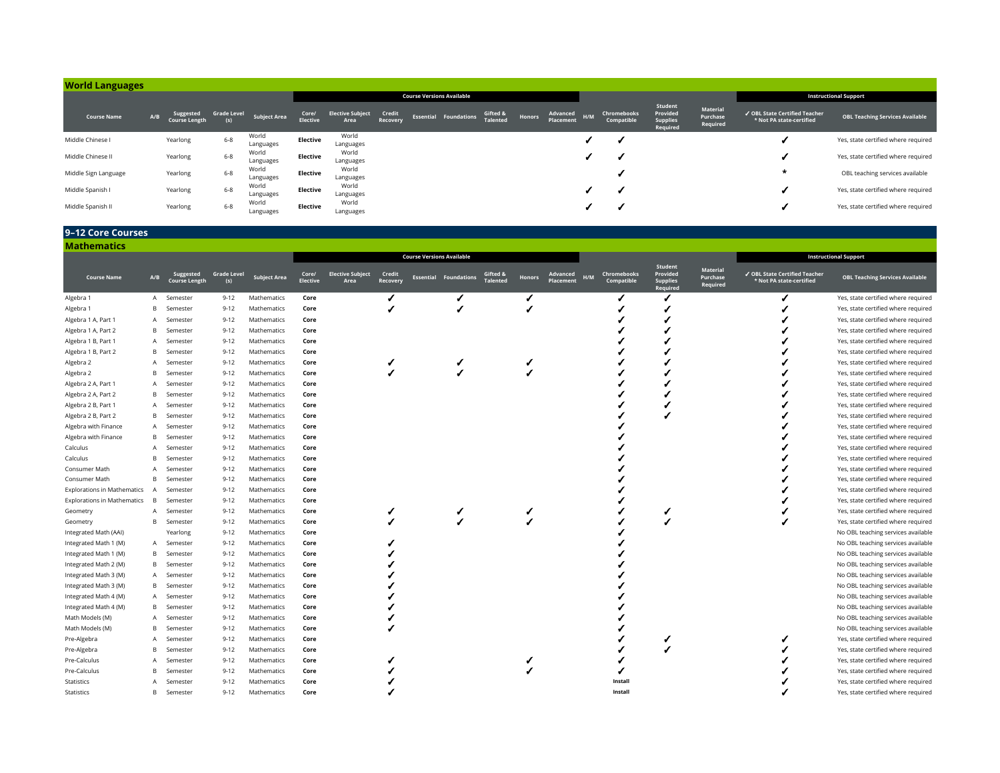| <b>World Languages</b> |     |                                   |                           |                     |                          |                                 |                    |                                  |                             |        |                       |     |                           |                                                    |                                  |                                                           |                                        |
|------------------------|-----|-----------------------------------|---------------------------|---------------------|--------------------------|---------------------------------|--------------------|----------------------------------|-----------------------------|--------|-----------------------|-----|---------------------------|----------------------------------------------------|----------------------------------|-----------------------------------------------------------|----------------------------------------|
|                        |     |                                   |                           |                     |                          |                                 |                    | <b>Course Versions Available</b> |                             |        |                       |     |                           |                                                    |                                  |                                                           | <b>Instructional Support</b>           |
| <b>Course Name</b>     | A/B | Suggested<br><b>Course Length</b> | <b>Grade Level</b><br>(s) | <b>Subject Area</b> | Core/<br><b>Elective</b> | <b>Elective Subject</b><br>Area | Credit<br>Recovery | <b>Essential Foundations</b>     | Gifted &<br><b>Talented</b> | Honors | Advanced<br>Placement | H/M | Chromebooks<br>Compatible | Student<br>Provided<br><b>Supplies</b><br>Required | Material<br>Purchase<br>Required | ✔ OBL State Certified Teacher<br>* Not PA state-certified | <b>OBL Teaching Services Available</b> |
| Middle Chinese I       |     | Yearlong                          | $6 - 8$                   | World<br>Languages  | Elective                 | World<br>Languages              |                    |                                  |                             |        |                       |     |                           |                                                    |                                  |                                                           | Yes, state certified where required    |
| Middle Chinese II      |     | Yearlong                          | $6 - 8$                   | World<br>Languages  | Elective                 | World<br>Languages              |                    |                                  |                             |        |                       |     |                           |                                                    |                                  |                                                           | Yes, state certified where required    |
| Middle Sign Language   |     | Yearlong                          | $6 - 8$                   | World<br>Languages  | Elective                 | World<br>Languages              |                    |                                  |                             |        |                       |     |                           |                                                    |                                  | $\star$                                                   | OBL teaching services available        |
| Middle Spanish I       |     | Yearlong                          | $6 - 8$                   | World<br>Languages  | Elective                 | World<br>Languages              |                    |                                  |                             |        |                       |     |                           |                                                    |                                  |                                                           | Yes, state certified where required    |
| Middle Spanish II      |     | Yearlong                          | $6 - 8$                   | World<br>Languages  | Elective                 | World<br>Languages              |                    |                                  |                             |        |                       |     |                           |                                                    |                                  |                                                           | Yes, state certified where required    |

## **9–12 Core Courses**

| <b>Mathematics</b>                 |     |                                   |                           |                     |                   |                                        |                    |                                  |                             |                                        |                                  |                                                    |                                         |                                                           |                                        |
|------------------------------------|-----|-----------------------------------|---------------------------|---------------------|-------------------|----------------------------------------|--------------------|----------------------------------|-----------------------------|----------------------------------------|----------------------------------|----------------------------------------------------|-----------------------------------------|-----------------------------------------------------------|----------------------------------------|
|                                    |     |                                   |                           |                     |                   |                                        |                    | <b>Course Versions Available</b> |                             |                                        |                                  |                                                    |                                         |                                                           | <b>Instructional Support</b>           |
| <b>Course Name</b>                 | A/B | Suggested<br><b>Course Length</b> | <b>Grade Level</b><br>(s) | <b>Subiect Area</b> | Core/<br>Elective | <b>Elective Subject</b><br><b>Area</b> | Credit<br>Recovery | <b>Essential Foundations</b>     | Gifted 8<br><b>Talented</b> | Advanced<br><b>Honors</b><br>Placement | Chromebooks<br>H/M<br>Compatible | Student<br>Provided<br><b>Supplies</b><br>Required | <b>Material</b><br>Purchase<br>Required | √ OBL State Certified Teacher<br>* Not PA state-certified | <b>OBL Teaching Services Available</b> |
| Algebra 1                          | A   | Semester                          | $9 - 12$                  | Mathematics         | Core              |                                        |                    |                                  |                             |                                        |                                  |                                                    |                                         |                                                           | Yes, state certified where required    |
| Algebra 1                          | B   | Semester                          | $9 - 12$                  | Mathematics         | Core              |                                        |                    |                                  |                             |                                        |                                  |                                                    |                                         |                                                           | Yes, state certified where required    |
| Algebra 1 A, Part 1                | A   | Semester                          | $9 - 12$                  | Mathematics         | Core              |                                        |                    |                                  |                             |                                        |                                  |                                                    |                                         |                                                           | Yes, state certified where required    |
| Algebra 1 A, Part 2                | B   | Semester                          | $9 - 12$                  | Mathematics         | Core              |                                        |                    |                                  |                             |                                        |                                  |                                                    |                                         |                                                           | Yes, state certified where required    |
| Algebra 1 B, Part 1                | A   | Semester                          | $9 - 12$                  | Mathematics         | Core              |                                        |                    |                                  |                             |                                        |                                  |                                                    |                                         |                                                           | Yes, state certified where required    |
| Algebra 1 B, Part 2                | B.  | Semester                          | $9 - 12$                  | Mathematics         | Core              |                                        |                    |                                  |                             |                                        |                                  |                                                    |                                         |                                                           | Yes, state certified where required    |
| Algebra 2                          | A   | Semester                          | $9 - 12$                  | Mathematics         | Core              |                                        |                    |                                  |                             |                                        |                                  |                                                    |                                         |                                                           | Yes, state certified where required    |
| Algebra 2                          | B   | Semester                          | $9 - 12$                  | Mathematics         | Core              |                                        |                    |                                  |                             |                                        |                                  |                                                    |                                         |                                                           | Yes, state certified where required    |
| Algebra 2 A, Part 1                | A   | Semester                          | $9 - 12$                  | Mathematics         | Core              |                                        |                    |                                  |                             |                                        |                                  |                                                    |                                         |                                                           | Yes, state certified where required    |
| Algebra 2 A, Part 2                | B.  | Semester                          | $9 - 12$                  | Mathematics         | Core              |                                        |                    |                                  |                             |                                        |                                  |                                                    |                                         |                                                           | Yes, state certified where required    |
| Algebra 2 B, Part 1                | A   | Semester                          | $9 - 12$                  | Mathematics         | Core              |                                        |                    |                                  |                             |                                        |                                  |                                                    |                                         |                                                           | Yes, state certified where required    |
| Algebra 2 B, Part 2                | B   | Semester                          | $9 - 12$                  | Mathematics         | Core              |                                        |                    |                                  |                             |                                        |                                  |                                                    |                                         |                                                           | Yes, state certified where required    |
| Algebra with Finance               | A   | Semester                          | $9 - 12$                  | Mathematics         | Core              |                                        |                    |                                  |                             |                                        |                                  |                                                    |                                         |                                                           | Yes, state certified where required    |
| Algebra with Finance               | B   | Semester                          | $9 - 12$                  | Mathematics         | Core              |                                        |                    |                                  |                             |                                        |                                  |                                                    |                                         |                                                           | Yes, state certified where required    |
| Calculus                           | A   | Semester                          | $9 - 12$                  | Mathematics         | Core              |                                        |                    |                                  |                             |                                        |                                  |                                                    |                                         |                                                           | Yes, state certified where required    |
| Calculus                           | B   | Semester                          | $9 - 12$                  | Mathematics         | Core              |                                        |                    |                                  |                             |                                        |                                  |                                                    |                                         |                                                           | Yes, state certified where required    |
| Consumer Math                      | A   | Semester                          | $9 - 12$                  | Mathematics         | Core              |                                        |                    |                                  |                             |                                        |                                  |                                                    |                                         |                                                           | Yes, state certified where required    |
| Consumer Math                      | B   | Semester                          | $9 - 12$                  | Mathematics         | Core              |                                        |                    |                                  |                             |                                        |                                  |                                                    |                                         |                                                           | Yes, state certified where required    |
| <b>Explorations in Mathematics</b> | A   | Semester                          | $9 - 12$                  | Mathematics         | Core              |                                        |                    |                                  |                             |                                        |                                  |                                                    |                                         |                                                           | Yes, state certified where required    |
| <b>Explorations in Mathematics</b> | B   | Semester                          | $9 - 12$                  | Mathematics         | Core              |                                        |                    |                                  |                             |                                        |                                  |                                                    |                                         |                                                           | Yes, state certified where required    |
| Geometry                           | A   | Semester                          | $9 - 12$                  | Mathematics         | Core              |                                        |                    |                                  |                             |                                        |                                  |                                                    |                                         |                                                           | Yes, state certified where required    |
| Geometry                           | B   | Semester                          | $9 - 12$                  | Mathematics         | Core              |                                        |                    |                                  |                             |                                        |                                  |                                                    |                                         |                                                           | Yes, state certified where required    |
| Integrated Math (AAI)              |     | Yearlong                          | $9 - 12$                  | Mathematics         | Core              |                                        |                    |                                  |                             |                                        |                                  |                                                    |                                         |                                                           | No OBL teaching services available     |
| Integrated Math 1 (M)              | A   | Semester                          | $9 - 12$                  | Mathematics         | Core              |                                        |                    |                                  |                             |                                        |                                  |                                                    |                                         |                                                           | No OBL teaching services available     |
| Integrated Math 1 (M)              | B   | Semester                          | $9 - 12$                  | Mathematics         | Core              |                                        |                    |                                  |                             |                                        |                                  |                                                    |                                         |                                                           | No OBL teaching services available     |
| Integrated Math 2 (M)              | B   | Semester                          | $9 - 12$                  | Mathematics         | Core              |                                        |                    |                                  |                             |                                        |                                  |                                                    |                                         |                                                           | No OBL teaching services available     |
| Integrated Math 3 (M)              | A   | Semester                          | $9 - 12$                  | Mathematics         | Core              |                                        |                    |                                  |                             |                                        |                                  |                                                    |                                         |                                                           | No OBL teaching services available     |
| Integrated Math 3 (M)              | B   | Semester                          | $9 - 12$                  | Mathematics         | Core              |                                        |                    |                                  |                             |                                        |                                  |                                                    |                                         |                                                           | No OBL teaching services available     |
| Integrated Math 4 (M)              | A   | Semester                          | $9 - 12$                  | Mathematics         | Core              |                                        |                    |                                  |                             |                                        |                                  |                                                    |                                         |                                                           | No OBL teaching services available     |
| Integrated Math 4 (M)              | B   | Semester                          | $9 - 12$                  | Mathematics         | Core              |                                        |                    |                                  |                             |                                        |                                  |                                                    |                                         |                                                           | No OBL teaching services available     |
| Math Models (M)                    | A   | Semester                          | $9 - 12$                  | Mathematics         | Core              |                                        |                    |                                  |                             |                                        |                                  |                                                    |                                         |                                                           | No OBL teaching services available     |
| Math Models (M)                    | B   | Semester                          | $9 - 12$                  | Mathematics         | Core              |                                        |                    |                                  |                             |                                        |                                  |                                                    |                                         |                                                           | No OBL teaching services available     |
| Pre-Algebra                        | A   | Semester                          | $9 - 12$                  | Mathematics         | Core              |                                        |                    |                                  |                             |                                        |                                  |                                                    |                                         |                                                           | Yes, state certified where required    |
| Pre-Algebra                        | B.  | Semester                          | $9 - 12$                  | Mathematics         | Core              |                                        |                    |                                  |                             |                                        |                                  |                                                    |                                         |                                                           | Yes, state certified where required    |
| Pre-Calculus                       | A   | Semester                          | $9 - 12$                  | Mathematics         | Core              |                                        |                    |                                  |                             |                                        |                                  |                                                    |                                         |                                                           | Yes, state certified where required    |
| Pre-Calculus                       | B   | Semester                          | $9 - 12$                  | Mathematics         | Core              |                                        |                    |                                  |                             |                                        |                                  |                                                    |                                         |                                                           | Yes, state certified where required    |
| Statistics                         | A   | Semester                          | $9 - 12$                  | Mathematics         | Core              |                                        |                    |                                  |                             |                                        | Install                          |                                                    |                                         |                                                           | Yes, state certified where required    |
| Statistics                         | B   | Semester                          | $9 - 12$                  | Mathematics         | Core              |                                        |                    |                                  |                             |                                        | Install                          |                                                    |                                         |                                                           | Yes, state certified where required    |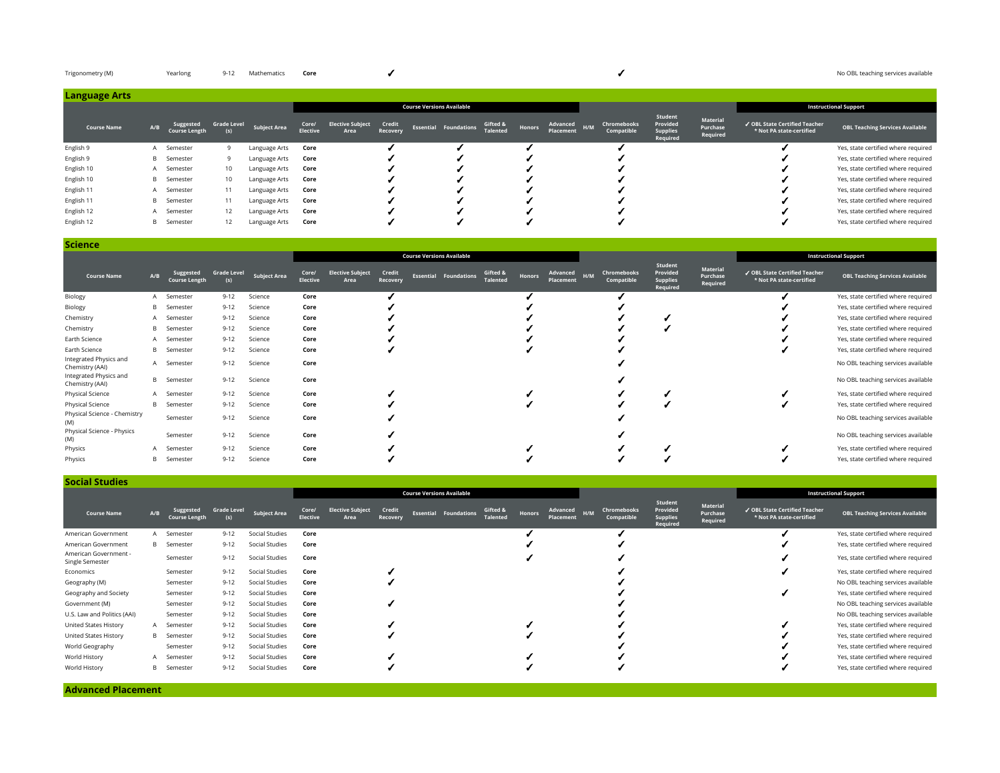| Trigonometry (M) | Yearlong | 9-12 Mathematics Core |                                  |         |                   | No OBL teaching services available |
|------------------|----------|-----------------------|----------------------------------|---------|-------------------|------------------------------------|
| Language Arts    |          |                       |                                  |         |                   |                                    |
|                  |          |                       | <b>Course Versions Available</b> |         |                   | <b>Instructional Support</b>       |
|                  |          |                       |                                  | Student | <b>CONTRACTOR</b> |                                    |

| <b>Course Name</b> | A/B | Suggested<br>Course Length | <b>Grade Level</b> | <b>Subject Area</b> | Core/<br><b>Elective</b> | <b>Elective Subject</b><br>Area | Credit<br>Recovery | <b>Essential Foundations</b> | Gifted &<br><b>Talented</b> | Honors | Advanced<br>H/M<br>Placement | Chromebooks<br>Compatible | ________<br>Provided<br><b>Supplies</b><br>Required | Material<br>Purchase<br>Required | √ OBL State Certified Teacher<br>* Not PA state-certified | <b>OBL Teaching Services Available</b> |
|--------------------|-----|----------------------------|--------------------|---------------------|--------------------------|---------------------------------|--------------------|------------------------------|-----------------------------|--------|------------------------------|---------------------------|-----------------------------------------------------|----------------------------------|-----------------------------------------------------------|----------------------------------------|
| English 9          |     | A Semester                 |                    | Language Arts       | Core                     |                                 |                    |                              |                             |        |                              |                           |                                                     |                                  |                                                           | Yes, state certified where required    |
| English 9          |     | <b>B</b> Semester          |                    | Language Arts       | Core                     |                                 |                    |                              |                             |        |                              |                           |                                                     |                                  |                                                           | Yes, state certified where required    |
| English 10         |     | A Semester                 | 10                 | Language Arts       | Core                     |                                 |                    |                              |                             |        |                              |                           |                                                     |                                  |                                                           | Yes, state certified where required    |
| English 10         |     | <b>B</b> Semester          | 10                 | Language Arts       | Core                     |                                 |                    |                              |                             |        |                              |                           |                                                     |                                  |                                                           | Yes, state certified where required    |
| English 11         |     | Semester                   | 11                 | Language Arts       | Core                     |                                 |                    |                              |                             |        |                              |                           |                                                     |                                  |                                                           | Yes, state certified where required    |
| English 11         |     | <b>B</b> Semester          | 11                 | Language Arts       | Core                     |                                 |                    |                              |                             |        |                              |                           |                                                     |                                  |                                                           | Yes, state certified where required    |
| English 12         |     | A Semester                 | 12                 | Language Arts       | Core                     |                                 |                    |                              |                             |        |                              |                           |                                                     |                                  |                                                           | Yes, state certified where required    |
| English 12         |     | <b>B</b> Semester          | 12                 | Language Arts       | Core                     |                                 |                    |                              |                             |        |                              |                           |                                                     |                                  |                                                           | Yes, state certified where required    |

**Science**

| .                                         |     |                                   |                           |                     |                   |                                 |                    |                                  |                             |               |                       |     |                           |                                                    |                                  |                                                           |                                        |
|-------------------------------------------|-----|-----------------------------------|---------------------------|---------------------|-------------------|---------------------------------|--------------------|----------------------------------|-----------------------------|---------------|-----------------------|-----|---------------------------|----------------------------------------------------|----------------------------------|-----------------------------------------------------------|----------------------------------------|
|                                           |     |                                   |                           |                     |                   |                                 |                    | <b>Course Versions Available</b> |                             |               |                       |     |                           |                                                    |                                  |                                                           | <b>Instructional Support</b>           |
| <b>Course Name</b>                        | A/B | Suggested<br><b>Course Length</b> | <b>Grade Level</b><br>(s) | <b>Subject Area</b> | Core/<br>Elective | <b>Elective Subject</b><br>Area | Credit<br>Recovery | <b>Essential Foundations</b>     | Gifted &<br><b>Talented</b> | <b>Honors</b> | Advanced<br>Placement | H/M | Chromebooks<br>Compatible | Student<br>Provided<br><b>Supplies</b><br>Required | Material<br>Purchase<br>Required | √ OBL State Certified Teacher<br>* Not PA state-certified | <b>OBL Teaching Services Available</b> |
| Biology                                   | A   | Semester                          | $9 - 12$                  | Science             | Core              |                                 |                    |                                  |                             |               |                       |     |                           |                                                    |                                  |                                                           | Yes, state certified where required    |
| Biology                                   | B   | Semester                          | $9 - 12$                  | Science             | Core              |                                 |                    |                                  |                             |               |                       |     |                           |                                                    |                                  |                                                           | Yes, state certified where required    |
| Chemistry                                 |     | A Semester                        | $9 - 12$                  | Science             | Core              |                                 |                    |                                  |                             |               |                       |     |                           |                                                    |                                  |                                                           | Yes, state certified where required    |
| Chemistry                                 | B   | Semester                          | $9 - 12$                  | Science             | Core              |                                 |                    |                                  |                             |               |                       |     |                           |                                                    |                                  |                                                           | Yes, state certified where required    |
| Earth Science                             |     | A Semester                        | $9 - 12$                  | Science             | Core              |                                 |                    |                                  |                             |               |                       |     |                           |                                                    |                                  |                                                           | Yes, state certified where required    |
| Earth Science                             | B   | Semester                          | $9 - 12$                  | Science             | Core              |                                 |                    |                                  |                             |               |                       |     |                           |                                                    |                                  |                                                           | Yes, state certified where required    |
| Integrated Physics and<br>Chemistry (AAI) | A   | Semester                          | $9 - 12$                  | Science             | Core              |                                 |                    |                                  |                             |               |                       |     |                           |                                                    |                                  |                                                           | No OBL teaching services available     |
| Integrated Physics and<br>Chemistry (AAI) | B   | Semester                          | $9 - 12$                  | Science             | Core              |                                 |                    |                                  |                             |               |                       |     |                           |                                                    |                                  |                                                           | No OBL teaching services available     |
| Physical Science                          |     | A Semester                        | $9 - 12$                  | Science             | Core              |                                 |                    |                                  |                             |               |                       |     |                           |                                                    |                                  |                                                           | Yes, state certified where required    |
| Physical Science                          | B   | Semester                          | $9 - 12$                  | Science             | Core              |                                 |                    |                                  |                             |               |                       |     |                           |                                                    |                                  |                                                           | Yes, state certified where required    |
| Physical Science - Chemistry<br>(M)       |     | Semester                          | $9 - 12$                  | Science             | Core              |                                 |                    |                                  |                             |               |                       |     |                           |                                                    |                                  |                                                           | No OBL teaching services available     |
| Physical Science - Physics<br>(M)         |     | Semester                          | $9 - 12$                  | Science             | Core              |                                 |                    |                                  |                             |               |                       |     |                           |                                                    |                                  |                                                           | No OBL teaching services available     |
| Physics                                   |     | Semester                          | $9 - 12$                  | Science             | Core              |                                 |                    |                                  |                             |               |                       |     |                           |                                                    |                                  |                                                           | Yes, state certified where required    |
| Physics                                   | B   | Semester                          | $9 - 12$                  | Science             | Core              |                                 |                    |                                  |                             |               |                       |     |                           |                                                    |                                  |                                                           | Yes, state certified where required    |

| <b>Social Studies</b>                    |     |                                   |                           |                     |                          |                                 |                    |                                  |                             |               |                       |     |                           |                                                    |                                  |                                                           |                                        |
|------------------------------------------|-----|-----------------------------------|---------------------------|---------------------|--------------------------|---------------------------------|--------------------|----------------------------------|-----------------------------|---------------|-----------------------|-----|---------------------------|----------------------------------------------------|----------------------------------|-----------------------------------------------------------|----------------------------------------|
|                                          |     |                                   |                           |                     |                          |                                 |                    | <b>Course Versions Available</b> |                             |               |                       |     |                           |                                                    |                                  |                                                           | <b>Instructional Support</b>           |
| <b>Course Name</b>                       | A/B | Suggested<br><b>Course Length</b> | <b>Grade Level</b><br>(s) | <b>Subject Area</b> | Core/<br><b>Elective</b> | <b>Elective Subject</b><br>Area | Credit<br>Recovery | <b>Essential Foundations</b>     | Gifted &<br><b>Talented</b> | <b>Honors</b> | Advanced<br>Placement | H/M | Chromebooks<br>Compatible | Student<br>Provided<br><b>Supplies</b><br>Required | Material<br>Purchase<br>Required | ✔ OBL State Certified Teacher<br>* Not PA state-certified | <b>OBL Teaching Services Available</b> |
| American Government                      | A   | Semester                          | $9 - 12$                  | Social Studies      | Core                     |                                 |                    |                                  |                             |               |                       |     |                           |                                                    |                                  |                                                           | Yes, state certified where required    |
| American Government                      |     | <b>B</b> Semester                 | $9 - 12$                  | Social Studies      | Core                     |                                 |                    |                                  |                             |               |                       |     |                           |                                                    |                                  |                                                           | Yes, state certified where required    |
| American Government -<br>Single Semester |     | Semester                          | $9 - 12$                  | Social Studies      | Core                     |                                 |                    |                                  |                             |               |                       |     |                           |                                                    |                                  |                                                           | Yes, state certified where required    |
| Economics                                |     | Semester                          | $9 - 12$                  | Social Studies      | Core                     |                                 |                    |                                  |                             |               |                       |     |                           |                                                    |                                  |                                                           | Yes, state certified where required    |
| Geography (M)                            |     | Semester                          | $9 - 12$                  | Social Studies      | Core                     |                                 |                    |                                  |                             |               |                       |     |                           |                                                    |                                  |                                                           | No OBL teaching services available     |
| Geography and Society                    |     | Semester                          | $9 - 12$                  | Social Studies      | Core                     |                                 |                    |                                  |                             |               |                       |     |                           |                                                    |                                  |                                                           | Yes, state certified where required    |
| Government (M)                           |     | Semester                          | $9 - 12$                  | Social Studies      | Core                     |                                 |                    |                                  |                             |               |                       |     |                           |                                                    |                                  |                                                           | No OBL teaching services available     |
| U.S. Law and Politics (AAI)              |     | Semester                          | $9 - 12$                  | Social Studies      | Core                     |                                 |                    |                                  |                             |               |                       |     |                           |                                                    |                                  |                                                           | No OBL teaching services available     |
| United States History                    |     | A Semester                        | $9 - 12$                  | Social Studies      | Core                     |                                 |                    |                                  |                             |               |                       |     |                           |                                                    |                                  |                                                           | Yes, state certified where required    |
| United States History                    |     | <b>B</b> Semester                 | $9 - 12$                  | Social Studies      | Core                     |                                 |                    |                                  |                             |               |                       |     |                           |                                                    |                                  |                                                           | Yes, state certified where required    |
| World Geography                          |     | Semester                          | $9 - 12$                  | Social Studies      | Core                     |                                 |                    |                                  |                             |               |                       |     |                           |                                                    |                                  |                                                           | Yes, state certified where required    |
| World History                            |     | A Semester                        | $9 - 12$                  | Social Studies      | Core                     |                                 |                    |                                  |                             |               |                       |     |                           |                                                    |                                  |                                                           | Yes, state certified where required    |
| World History                            | B   | Semester                          | $9 - 12$                  | Social Studies      | Core                     |                                 |                    |                                  |                             |               |                       |     |                           |                                                    |                                  |                                                           | Yes, state certified where required    |

**Advanced Placement**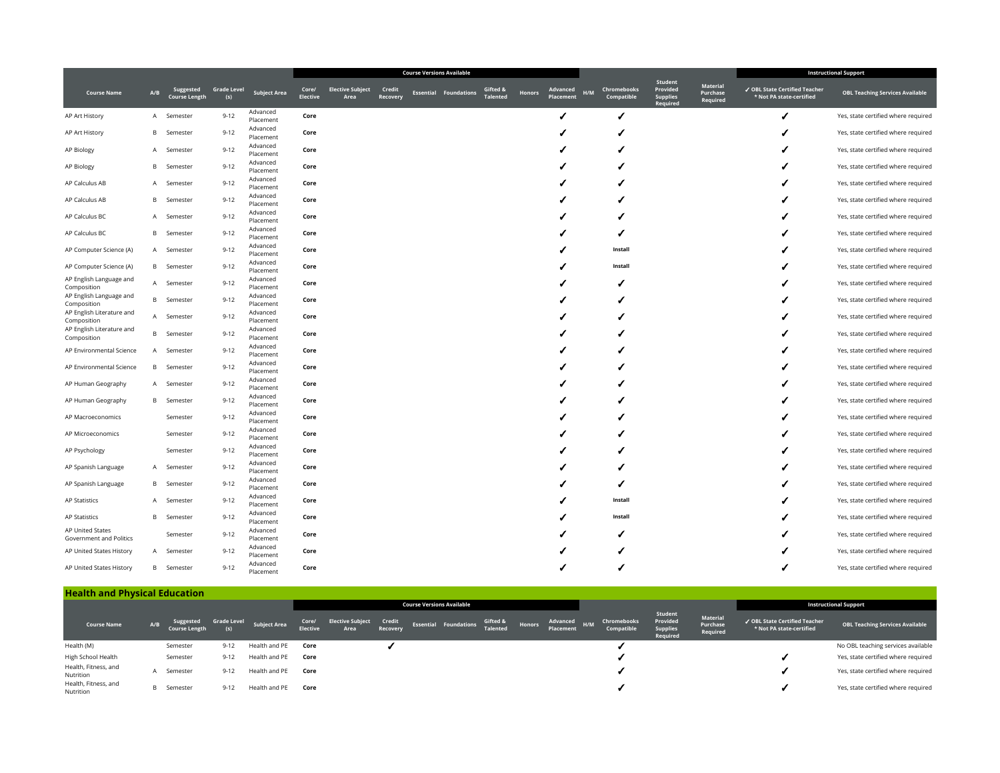|                                          |     |                                   |                           |                       |                          |                                 |                    | <b>Course Versions Available</b> |                              |                             |        |                       |                                  |                                                    |                                  |                                                           | <b>Instructional Support</b>           |
|------------------------------------------|-----|-----------------------------------|---------------------------|-----------------------|--------------------------|---------------------------------|--------------------|----------------------------------|------------------------------|-----------------------------|--------|-----------------------|----------------------------------|----------------------------------------------------|----------------------------------|-----------------------------------------------------------|----------------------------------------|
| <b>Course Name</b>                       | A/B | Suggested<br><b>Course Length</b> | <b>Grade Level</b><br>(s) | <b>Subject Area</b>   | Core/<br><b>Elective</b> | <b>Elective Subject</b><br>Area | Credit<br>Recovery |                                  | <b>Essential Foundations</b> | Gifted &<br><b>Talented</b> | Honors | Advanced<br>Placement | Chromebooks<br>H/M<br>Compatible | Student<br>Provided<br><b>Supplies</b><br>Required | Material<br>Purchase<br>Required | √ OBL State Certified Teacher<br>* Not PA state-certified | <b>OBL Teaching Services Available</b> |
| AP Art History                           | A   | Semester                          | $9 - 12$                  | Advanced<br>Placement | Core                     |                                 |                    |                                  |                              |                             |        |                       |                                  |                                                    |                                  |                                                           | Yes, state certified where required    |
| AP Art History                           | B   | Semester                          | $9 - 12$                  | Advanced<br>Placement | Core                     |                                 |                    |                                  |                              |                             |        |                       |                                  |                                                    |                                  |                                                           | Yes, state certified where required    |
| AP Biology                               | A   | Semester                          | $9 - 12$                  | Advanced<br>Placement | Core                     |                                 |                    |                                  |                              |                             |        |                       |                                  |                                                    |                                  |                                                           | Yes, state certified where required    |
| AP Biology                               | B   | Semester                          | $9 - 12$                  | Advanced<br>Placement | Core                     |                                 |                    |                                  |                              |                             |        |                       |                                  |                                                    |                                  |                                                           | Yes, state certified where required    |
| AP Calculus AB                           | A   | Semester                          | $9 - 12$                  | Advanced<br>Placement | Core                     |                                 |                    |                                  |                              |                             |        |                       |                                  |                                                    |                                  |                                                           | Yes, state certified where required    |
| AP Calculus AB                           | B   | Semester                          | $9 - 12$                  | Advanced<br>Placement | Core                     |                                 |                    |                                  |                              |                             |        |                       |                                  |                                                    |                                  |                                                           | Yes, state certified where required    |
| AP Calculus BC                           | A   | Semester                          | $9 - 12$                  | Advanced<br>Placement | Core                     |                                 |                    |                                  |                              |                             |        |                       |                                  |                                                    |                                  |                                                           | Yes, state certified where required    |
| AP Calculus BC                           | В   | Semester                          | $9 - 12$                  | Advanced<br>Placement | Core                     |                                 |                    |                                  |                              |                             |        |                       |                                  |                                                    |                                  |                                                           | Yes, state certified where required    |
| AP Computer Science (A)                  | A   | Semester                          | $9 - 12$                  | Advanced<br>Placement | Core                     |                                 |                    |                                  |                              |                             |        |                       | Install                          |                                                    |                                  |                                                           | Yes, state certified where required    |
| AP Computer Science (A)                  |     | <b>B</b> Semester                 | $9 - 12$                  | Advanced<br>Placement | Core                     |                                 |                    |                                  |                              |                             |        |                       | Install                          |                                                    |                                  |                                                           | Yes, state certified where required    |
| AP English Language and<br>Composition   | A   | Semester                          | $9 - 12$                  | Advanced<br>Placement | Core                     |                                 |                    |                                  |                              |                             |        |                       |                                  |                                                    |                                  |                                                           | Yes, state certified where required    |
| AP English Language and<br>Composition   |     | <b>B</b> Semester                 | $9 - 12$                  | Advanced<br>Placement | Core                     |                                 |                    |                                  |                              |                             |        |                       |                                  |                                                    |                                  |                                                           | Yes, state certified where required    |
| AP English Literature and                |     | A Semester                        | $9 - 12$                  | Advanced<br>Placement | Core                     |                                 |                    |                                  |                              |                             |        |                       |                                  |                                                    |                                  |                                                           | Yes, state certified where required    |
| Composition<br>AP English Literature and | B.  | Semester                          | $9 - 12$                  | Advanced              | Core                     |                                 |                    |                                  |                              |                             |        |                       |                                  |                                                    |                                  |                                                           | Yes, state certified where required    |
| Composition<br>AP Environmental Science  | A   | Semester                          | $9 - 12$                  | Placement<br>Advanced | Core                     |                                 |                    |                                  |                              |                             |        |                       |                                  |                                                    |                                  |                                                           | Yes, state certified where required    |
| AP Environmental Science                 | B   | Semester                          | $9 - 12$                  | Placement<br>Advanced | Core                     |                                 |                    |                                  |                              |                             |        |                       |                                  |                                                    |                                  |                                                           | Yes, state certified where required    |
| AP Human Geography                       | A   | Semester                          | $9 - 12$                  | Placement<br>Advanced | Core                     |                                 |                    |                                  |                              |                             |        |                       |                                  |                                                    |                                  |                                                           | Yes, state certified where required    |
| AP Human Geography                       |     | <b>B</b> Semester                 | $9 - 12$                  | Placement<br>Advanced | Core                     |                                 |                    |                                  |                              |                             |        |                       |                                  |                                                    |                                  |                                                           | Yes, state certified where required    |
| AP Macroeconomics                        |     | Semester                          | $9 - 12$                  | Placement<br>Advanced | Core                     |                                 |                    |                                  |                              |                             |        |                       |                                  |                                                    |                                  |                                                           | Yes, state certified where required    |
| AP Microeconomics                        |     | Semester                          | $9 - 12$                  | Placement<br>Advanced | Core                     |                                 |                    |                                  |                              |                             |        |                       |                                  |                                                    |                                  |                                                           | Yes, state certified where required    |
| AP Psychology                            |     | Semester                          | $9 - 12$                  | Placement<br>Advanced | Core                     |                                 |                    |                                  |                              |                             |        |                       |                                  |                                                    |                                  |                                                           | Yes, state certified where required    |
| AP Spanish Language                      | A   | Semester                          | $9 - 12$                  | Placement<br>Advanced | Core                     |                                 |                    |                                  |                              |                             |        |                       |                                  |                                                    |                                  |                                                           | Yes, state certified where required    |
| AP Spanish Language                      | В   | Semester                          | $9 - 12$                  | Placement<br>Advanced | Core                     |                                 |                    |                                  |                              |                             |        |                       |                                  |                                                    |                                  |                                                           | Yes, state certified where required    |
| AP Statistics                            | A   | Semester                          | $9 - 12$                  | Placement<br>Advanced | Core                     |                                 |                    |                                  |                              |                             |        |                       | Install                          |                                                    |                                  |                                                           | Yes, state certified where required    |
| AP Statistics                            | В   | Semester                          | $9 - 12$                  | Placement<br>Advanced | Core                     |                                 |                    |                                  |                              |                             |        |                       | Install                          |                                                    |                                  |                                                           |                                        |
| <b>AP United States</b>                  |     |                                   |                           | Placement<br>Advanced |                          |                                 |                    |                                  |                              |                             |        |                       |                                  |                                                    |                                  |                                                           | Yes, state certified where required    |
| Government and Politics                  |     | Semester                          | $9 - 12$                  | Placement<br>Advanced | Core                     |                                 |                    |                                  |                              |                             |        |                       |                                  |                                                    |                                  |                                                           | Yes, state certified where required    |
| AP United States History                 | A   | Semester                          | $9 - 12$                  | Placement<br>Advanced | Core                     |                                 |                    |                                  |                              |                             |        |                       |                                  |                                                    |                                  |                                                           | Yes, state certified where required    |
| AP United States History                 | B   | Semester                          | $9 - 12$                  | Placement             | Core                     |                                 |                    |                                  |                              |                             |        |                       |                                  |                                                    |                                  |                                                           | Yes, state certified where required    |

| <b>Health and Physical Education</b> |     |                                   |                    |                     |                          |                                 |                    |                                            |        |                       |     |                           |                                                    |                                  |                                                           |                                        |
|--------------------------------------|-----|-----------------------------------|--------------------|---------------------|--------------------------|---------------------------------|--------------------|--------------------------------------------|--------|-----------------------|-----|---------------------------|----------------------------------------------------|----------------------------------|-----------------------------------------------------------|----------------------------------------|
|                                      |     |                                   |                    |                     |                          |                                 |                    | <b>Course Versions Available</b>           |        |                       |     |                           |                                                    |                                  |                                                           | <b>Instructional Support</b>           |
| <b>Course Name</b>                   | A/B | Suggested<br><b>Course Length</b> | <b>Grade Level</b> | <b>Subject Area</b> | Core/<br><b>Elective</b> | <b>Elective Subject</b><br>Area | Credit<br>Recovery | & Essential Foundations Gifted<br>Talented | Honors | Advanced<br>Placement | H/M | Chromebooks<br>Compatible | Student<br>Provided<br><b>Supplies</b><br>Required | Material<br>Purchase<br>Required | √ OBL State Certified Teacher<br>* Not PA state-certified | <b>OBL Teaching Services Available</b> |
| Health (M)                           |     | Semester                          | $9 - 12$           | Health and PE       | Core                     |                                 |                    |                                            |        |                       |     |                           |                                                    |                                  |                                                           | No OBL teaching services available     |
| High School Health                   |     | Semester                          | $9 - 12$           | Health and PE       | Core                     |                                 |                    |                                            |        |                       |     |                           |                                                    |                                  |                                                           | Yes, state certified where required    |
| Health, Fitness, and<br>Nutrition    |     | Semester                          | $9 - 12$           | Health and PE       | Core                     |                                 |                    |                                            |        |                       |     |                           |                                                    |                                  |                                                           | Yes, state certified where required    |
| Health, Fitness, and<br>Nutrition    |     | <b>B</b> Semester                 | $9 - 12$           | Health and PE       | Core                     |                                 |                    |                                            |        |                       |     |                           |                                                    |                                  |                                                           | Yes, state certified where required    |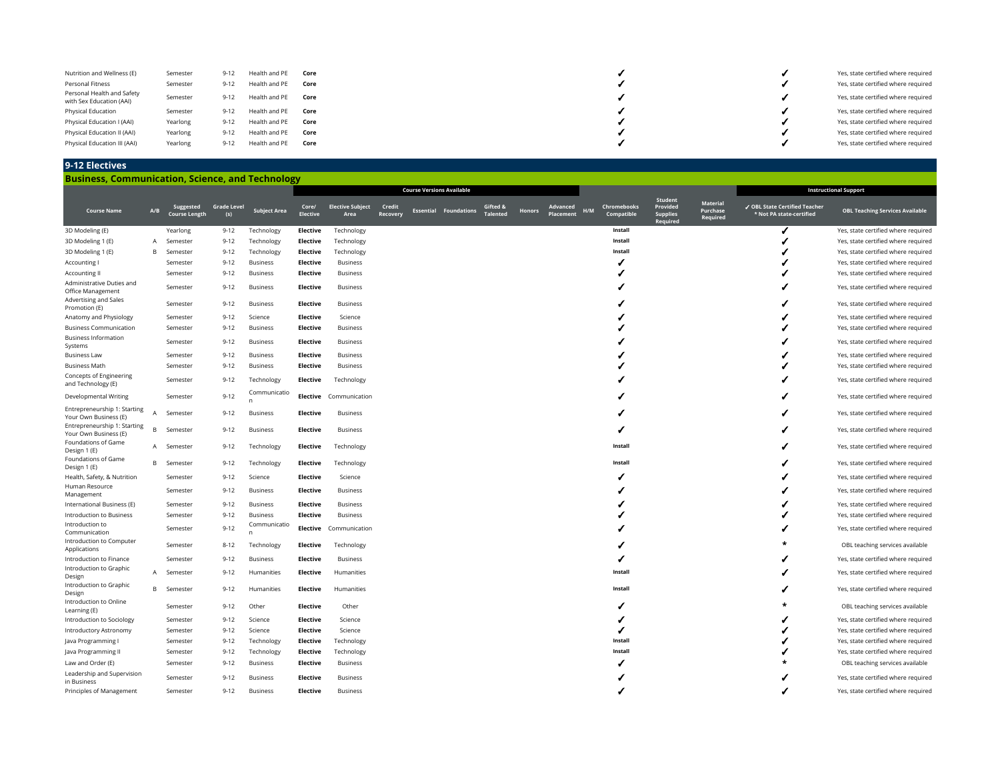| Nutrition and Wellness (E)<br>Personal Fitness<br>Personal Health and Safety<br>with Sex Education (AAI) | Semester<br>Semester<br>Semester | $9 - 12$<br>$9 - 12$<br>$9 - 12$ | Health and PE<br>Health and PE<br>Health and PE | Core<br>Core<br>Core |  | Yes, state certified where required<br>Yes, state certified where required<br>Yes, state certified where required |
|----------------------------------------------------------------------------------------------------------|----------------------------------|----------------------------------|-------------------------------------------------|----------------------|--|-------------------------------------------------------------------------------------------------------------------|
| Physical Education                                                                                       | Semester                         | $9 - 12$                         | Health and PE                                   | Core                 |  | Yes, state certified where required                                                                               |
| Physical Education I (AAI)                                                                               | Yearlong                         | $9 - 12$                         | Health and PE                                   | Core                 |  | Yes, state certified where required                                                                               |
| Physical Education II (AAI)                                                                              | Yearlong                         | $9 - 12$                         | Health and PE                                   | Core                 |  | Yes, state certified where required                                                                               |
| Physical Education III (AAI)                                                                             | Yearlong                         | $9 - 12$                         | Health and PE                                   | Core                 |  | Yes, state certified where required                                                                               |

# **9-12 Electives**

**Business, Communication, Science, and Technology**

|                                                       |     |                                   |                           |                     |                          |                                 |                    | <b>Course Versions Available</b> |                              |                             |               |                       |     |                           |                                                           |                                         |                                                           | <b>Instructional Support</b>                                               |
|-------------------------------------------------------|-----|-----------------------------------|---------------------------|---------------------|--------------------------|---------------------------------|--------------------|----------------------------------|------------------------------|-----------------------------|---------------|-----------------------|-----|---------------------------|-----------------------------------------------------------|-----------------------------------------|-----------------------------------------------------------|----------------------------------------------------------------------------|
| <b>Course Name</b>                                    | A/B | Suggested<br><b>Course Length</b> | <b>Grade Level</b><br>(s) | <b>Subject Area</b> | Core/<br><b>Elective</b> | <b>Elective Subject</b><br>Area | Credit<br>Recovery |                                  | <b>Essential Foundations</b> | Gifted 8<br><b>Talented</b> | <b>Honors</b> | Advanced<br>Placement | H/M | Chromebooks<br>Compatible | <b>Student</b><br>Provided<br><b>Supplies</b><br>Required | <b>Material</b><br>Purchase<br>Required | ✔ OBL State Certified Teacher<br>* Not PA state-certified | <b>OBL Teaching Services Available</b>                                     |
| 3D Modeling (E)                                       |     | Yearlong                          | $9 - 12$                  | Technology          | Elective                 | Technology                      |                    |                                  |                              |                             |               |                       |     | Install                   |                                                           |                                         |                                                           | Yes, state certified where required                                        |
| 3D Modeling 1 (E)                                     | A   | Semester                          | $9 - 12$                  | Technology          | Elective                 | Technology                      |                    |                                  |                              |                             |               |                       |     | Install                   |                                                           |                                         |                                                           | Yes, state certified where required                                        |
| 3D Modeling 1 (E)                                     | B   | Semester                          | $9 - 12$                  | Technology          | Elective                 | Technology                      |                    |                                  |                              |                             |               |                       |     | Install                   |                                                           |                                         |                                                           | Yes, state certified where required                                        |
| Accounting I                                          |     | Semester                          | $9 - 12$                  | <b>Business</b>     | Elective                 | <b>Business</b>                 |                    |                                  |                              |                             |               |                       |     |                           |                                                           |                                         |                                                           | Yes, state certified where required                                        |
| <b>Accounting II</b>                                  |     | Semester                          | $9 - 12$                  | <b>Business</b>     | Elective                 | <b>Business</b>                 |                    |                                  |                              |                             |               |                       |     |                           |                                                           |                                         |                                                           | Yes, state certified where required                                        |
| Administrative Duties and<br>Office Management        |     | Semester                          | $9 - 12$                  | <b>Business</b>     | Elective                 | <b>Business</b>                 |                    |                                  |                              |                             |               |                       |     |                           |                                                           |                                         |                                                           | Yes, state certified where required                                        |
| Advertising and Sales<br>Promotion (E)                |     | Semester                          | $9 - 12$                  | <b>Business</b>     | <b>Elective</b>          | <b>Business</b>                 |                    |                                  |                              |                             |               |                       |     |                           |                                                           |                                         |                                                           | Yes, state certified where required                                        |
| Anatomy and Physiology                                |     | Semester                          | $9 - 12$                  | Science             | <b>Elective</b>          | Science                         |                    |                                  |                              |                             |               |                       |     |                           |                                                           |                                         |                                                           | Yes, state certified where required                                        |
| <b>Business Communication</b>                         |     | Semester                          | $9 - 12$                  | <b>Business</b>     | Elective                 | Business                        |                    |                                  |                              |                             |               |                       |     |                           |                                                           |                                         |                                                           | Yes, state certified where required                                        |
| <b>Business Information</b><br>Systems                |     | Semester                          | $9 - 12$                  | <b>Business</b>     | Elective                 | <b>Business</b>                 |                    |                                  |                              |                             |               |                       |     |                           |                                                           |                                         |                                                           | Yes, state certified where required                                        |
| <b>Business Law</b>                                   |     | Semester                          | $9 - 12$                  | <b>Business</b>     | Elective                 | Business                        |                    |                                  |                              |                             |               |                       |     |                           |                                                           |                                         |                                                           | Yes, state certified where required                                        |
| <b>Business Math</b>                                  |     | Semester                          | $9 - 12$                  | <b>Business</b>     | Elective                 | <b>Business</b>                 |                    |                                  |                              |                             |               |                       |     |                           |                                                           |                                         |                                                           | Yes, state certified where required                                        |
| Concepts of Engineering<br>and Technology (E)         |     | Semester                          | $9 - 12$                  | Technology          | Elective                 | Technology                      |                    |                                  |                              |                             |               |                       |     |                           |                                                           |                                         |                                                           | Yes, state certified where required                                        |
| Developmental Writing                                 |     | Semester                          | $9 - 12$                  | Communicatio        | Elective                 | Communication                   |                    |                                  |                              |                             |               |                       |     |                           |                                                           |                                         |                                                           | Yes, state certified where required                                        |
| Entrepreneurship 1: Starting<br>Your Own Business (E) | A   | Semester                          | $9 - 12$                  | <b>Business</b>     | Elective                 | <b>Business</b>                 |                    |                                  |                              |                             |               |                       |     |                           |                                                           |                                         |                                                           | Yes, state certified where required                                        |
| Entrepreneurship 1: Starting<br>Your Own Business (E) | R.  | Semester                          | $9 - 12$                  | <b>Business</b>     | Elective                 | <b>Business</b>                 |                    |                                  |                              |                             |               |                       |     |                           |                                                           |                                         |                                                           | Yes, state certified where required                                        |
| Foundations of Game<br>Design 1 (E)                   | A   | Semester                          | $9 - 12$                  | Technology          | Elective                 | Technology                      |                    |                                  |                              |                             |               |                       |     | Install                   |                                                           |                                         |                                                           | Yes, state certified where required                                        |
| Foundations of Game<br>Design 1 (E)                   | В   | Semester                          | $9 - 12$                  | Technology          | Elective                 | Technology                      |                    |                                  |                              |                             |               |                       |     | Install                   |                                                           |                                         |                                                           | Yes, state certified where required                                        |
| Health, Safety, & Nutrition                           |     | Semester                          | $9 - 12$                  | Science             | Elective                 | Science                         |                    |                                  |                              |                             |               |                       |     |                           |                                                           |                                         |                                                           | Yes, state certified where required                                        |
| Human Resource<br>Management                          |     | Semester                          | $9 - 12$                  | <b>Business</b>     | <b>Elective</b>          | <b>Business</b>                 |                    |                                  |                              |                             |               |                       |     |                           |                                                           |                                         |                                                           | Yes, state certified where required                                        |
| International Business (E)                            |     | Semester                          | $9 - 12$                  | <b>Business</b>     | Elective                 | <b>Business</b>                 |                    |                                  |                              |                             |               |                       |     |                           |                                                           |                                         |                                                           | Yes, state certified where required                                        |
| Introduction to Business                              |     | Semester                          | $9 - 12$                  | <b>Business</b>     | Elective                 | <b>Business</b>                 |                    |                                  |                              |                             |               |                       |     |                           |                                                           |                                         |                                                           | Yes, state certified where required                                        |
| Introduction to<br>Communication                      |     | Semester                          | $9 - 12$                  | Communicatio<br>n   |                          | Elective Communication          |                    |                                  |                              |                             |               |                       |     |                           |                                                           |                                         |                                                           | Yes, state certified where required                                        |
| Introduction to Computer<br>Applications              |     | Semester                          | $8 - 12$                  | Technology          | Elective                 | Technology                      |                    |                                  |                              |                             |               |                       |     |                           |                                                           |                                         |                                                           | OBL teaching services available                                            |
| Introduction to Finance                               |     | Semester                          | $9 - 12$                  | <b>Business</b>     | <b>Elective</b>          | <b>Business</b>                 |                    |                                  |                              |                             |               |                       |     |                           |                                                           |                                         |                                                           | Yes, state certified where required                                        |
| Introduction to Graphic<br>Design                     | A   | Semester                          | $9 - 12$                  | Humanities          | Elective                 | Humanities                      |                    |                                  |                              |                             |               |                       |     | Install                   |                                                           |                                         |                                                           | Yes, state certified where required                                        |
| Introduction to Graphic<br>Design                     | В   | Semester                          | $9 - 12$                  | Humanities          | <b>Elective</b>          | Humanities                      |                    |                                  |                              |                             |               |                       |     | Install                   |                                                           |                                         |                                                           | Yes, state certified where required                                        |
| Introduction to Online<br>Learning (E)                |     | Semester                          | $9 - 12$                  | Other               | <b>Elective</b>          | Other                           |                    |                                  |                              |                             |               |                       |     |                           |                                                           |                                         |                                                           | OBL teaching services available                                            |
| Introduction to Sociology                             |     | Semester                          | $9 - 12$                  | Science             | Elective                 | Science                         |                    |                                  |                              |                             |               |                       |     |                           |                                                           |                                         |                                                           | Yes, state certified where required                                        |
| Introductory Astronomy                                |     | Semester                          | $9 - 12$                  | Science             | Elective                 | Science                         |                    |                                  |                              |                             |               |                       |     |                           |                                                           |                                         |                                                           | Yes, state certified where required                                        |
| Java Programming I                                    |     | Semester                          | $9 - 12$                  | Technology          | Elective                 | Technology                      |                    |                                  |                              |                             |               |                       |     | Install                   |                                                           |                                         |                                                           | Yes, state certified where required                                        |
| Java Programming II                                   |     | Semester                          | $9 - 12$                  | Technology          | Elective                 | Technology                      |                    |                                  |                              |                             |               |                       |     | Install                   |                                                           |                                         |                                                           | Yes, state certified where required                                        |
| Law and Order (E)<br>Leadership and Supervision       |     | Semester                          | $9 - 12$                  | <b>Business</b>     | Elective                 | <b>Business</b>                 |                    |                                  |                              |                             |               |                       |     |                           |                                                           |                                         |                                                           | OBL teaching services available                                            |
| in Business<br>Principles of Management               |     | Semester                          | $9 - 12$<br>$9 - 12$      | <b>Business</b>     | <b>Elective</b>          | <b>Business</b>                 |                    |                                  |                              |                             |               |                       |     |                           |                                                           |                                         |                                                           | Yes, state certified where required<br>Yes, state certified where required |
|                                                       |     | Semester                          |                           | <b>Business</b>     | Elective                 | <b>Business</b>                 |                    |                                  |                              |                             |               |                       |     |                           |                                                           |                                         |                                                           |                                                                            |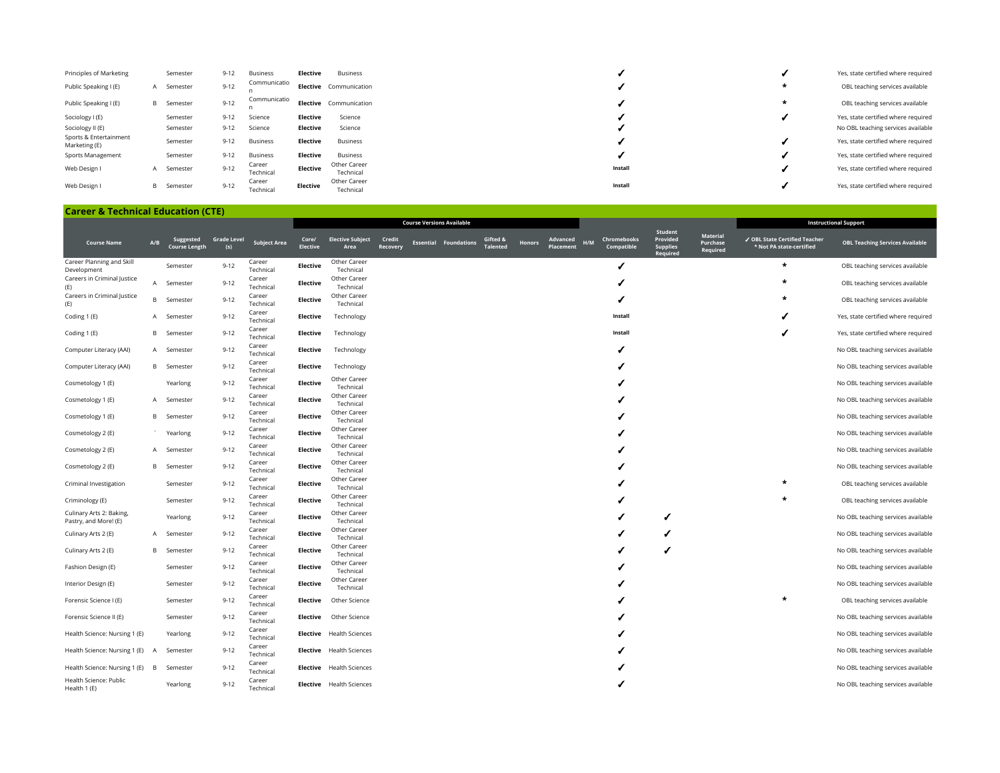| Principles of Marketing                 |   | Semester          | $9 - 12$ | Business            | Elective | Business                  |         |         | Yes, state certified where required |
|-----------------------------------------|---|-------------------|----------|---------------------|----------|---------------------------|---------|---------|-------------------------------------|
| Public Speaking I (E)                   | A | Semester          | $9 - 12$ | Communicatio        |          | Elective Communication    |         | $\star$ | OBL teaching services available     |
| Public Speaking I (E)                   |   | <b>B</b> Semester | $9 - 12$ | Communicatio        |          | Elective Communication    |         | *       | OBL teaching services available     |
| Sociology I (E)                         |   | Semester          | $9 - 12$ | Science             | Elective | Science                   |         |         | Yes, state certified where required |
| Sociology II (E)                        |   | Semester          | $9 - 12$ | Science             | Elective | Science                   |         |         | No OBL teaching services available  |
| Sports & Entertainment<br>Marketing (E) |   | Semester          | $9 - 12$ | <b>Business</b>     | Elective | Business                  |         |         | Yes, state certified where required |
| Sports Management                       |   | Semester          | $9 - 12$ | <b>Business</b>     | Elective | Business                  |         |         | Yes, state certified where required |
| Web Design I                            | A | Semester          | $9 - 12$ | Career<br>Technical | Elective | Other Career<br>Technical | Install |         | Yes, state certified where required |
| Web Design I                            |   | <b>B</b> Semester | $9 - 12$ | Career<br>Technical | Elective | Other Career<br>Technical | Install |         | Yes, state certified where required |

| <b>Career &amp; Technical Education (CTE)</b> |     |                                   |                           |                     |                          |                                 |                    |                                  |                              |                             |               |                                     |                                  |                                                    |                                         |                                                           |                                        |
|-----------------------------------------------|-----|-----------------------------------|---------------------------|---------------------|--------------------------|---------------------------------|--------------------|----------------------------------|------------------------------|-----------------------------|---------------|-------------------------------------|----------------------------------|----------------------------------------------------|-----------------------------------------|-----------------------------------------------------------|----------------------------------------|
|                                               |     |                                   |                           |                     |                          |                                 |                    | <b>Course Versions Available</b> |                              |                             |               |                                     |                                  |                                                    |                                         |                                                           | <b>Instructional Support</b>           |
| <b>Course Name</b>                            | A/B | Suggested<br><b>Course Length</b> | <b>Grade Level</b><br>(s) | <b>Subject Area</b> | Core/<br><b>Elective</b> | <b>Elective Subject</b><br>Area | Credit<br>Recovery |                                  | <b>Essential Foundations</b> | Gifted &<br><b>Talented</b> | <b>Honors</b> | <b>Advanced</b><br>H/M<br>Placement | <b>Chromebooks</b><br>Compatible | Student<br>Provided<br><b>Supplies</b><br>Required | <b>Material</b><br>Purchase<br>Required | √ OBL State Certified Teacher<br>* Not PA state-certified | <b>OBL Teaching Services Available</b> |
| Career Planning and Skill<br>Development      |     | Semester                          | $9 - 12$                  | Career<br>Technical | Elective                 | Other Career<br>Technical       |                    |                                  |                              |                             |               |                                     |                                  |                                                    |                                         | $\star$                                                   | OBL teaching services available        |
| Careers in Criminal Justice<br>(E)            | A   | Semester                          | $9 - 12$                  | Career<br>Technical | Elective                 | Other Career<br>Technical       |                    |                                  |                              |                             |               |                                     |                                  |                                                    |                                         |                                                           | OBL teaching services available        |
| Careers in Criminal Justice<br>(E)            | В   | Semester                          | $9 - 12$                  | Career<br>Technical | Elective                 | Other Career<br>Technical       |                    |                                  |                              |                             |               |                                     |                                  |                                                    |                                         | ÷                                                         | OBL teaching services available        |
| Coding 1 (E)                                  | A   | Semester                          | $9 - 12$                  | Career<br>Technical | Elective                 | Technology                      |                    |                                  |                              |                             |               |                                     | Install                          |                                                    |                                         |                                                           | Yes, state certified where required    |
| Coding 1 (E)                                  | В   | Semester                          | $9 - 12$                  | Career<br>Technical | Elective                 | Technology                      |                    |                                  |                              |                             |               |                                     | Install                          |                                                    |                                         |                                                           | Yes, state certified where required    |
| Computer Literacy (AAI)                       | A   | Semester                          | $9 - 12$                  | Career<br>Technical | Elective                 | Technology                      |                    |                                  |                              |                             |               |                                     |                                  |                                                    |                                         |                                                           | No OBL teaching services available     |
| Computer Literacy (AAI)                       |     | <b>B</b> Semester                 | $9 - 12$                  | Career<br>Technical | Elective                 | Technology                      |                    |                                  |                              |                             |               |                                     |                                  |                                                    |                                         |                                                           | No OBL teaching services available     |
| Cosmetology 1 (E)                             |     | Yearlong                          | $9 - 12$                  | Career<br>Technical | Elective                 | Other Career<br>Technical       |                    |                                  |                              |                             |               |                                     |                                  |                                                    |                                         |                                                           | No OBL teaching services available     |
| Cosmetology 1 (E)                             | A   | Semester                          | $9 - 12$                  | Career<br>Technical | <b>Elective</b>          | Other Career<br>Technical       |                    |                                  |                              |                             |               |                                     |                                  |                                                    |                                         |                                                           | No OBL teaching services available     |
| Cosmetology 1 (E)                             | В   | Semester                          | $9 - 12$                  | Career<br>Technical | Elective                 | Other Career<br>Technical       |                    |                                  |                              |                             |               |                                     |                                  |                                                    |                                         |                                                           | No OBL teaching services available     |
| Cosmetology 2 (E)                             |     | Yearlong                          | $9 - 12$                  | Career<br>Technical | Elective                 | Other Career<br>Technical       |                    |                                  |                              |                             |               |                                     |                                  |                                                    |                                         |                                                           | No OBL teaching services available     |
| Cosmetology 2 (E)                             | A   | Semester                          | $9 - 12$                  | Career<br>Technical | <b>Elective</b>          | Other Career<br>Technical       |                    |                                  |                              |                             |               |                                     |                                  |                                                    |                                         |                                                           | No OBL teaching services available     |
| Cosmetology 2 (E)                             | В   | Semester                          | $9 - 12$                  | Career<br>Technical | <b>Elective</b>          | Other Career<br>Technical       |                    |                                  |                              |                             |               |                                     |                                  |                                                    |                                         |                                                           | No OBL teaching services available     |
| Criminal Investigation                        |     | Semester                          | $9 - 12$                  | Career              | <b>Elective</b>          | Other Career                    |                    |                                  |                              |                             |               |                                     |                                  |                                                    |                                         |                                                           | OBL teaching services available        |
| Criminology (E)                               |     | Semester                          | $9 - 12$                  | Technical<br>Career | <b>Elective</b>          | Technical<br>Other Career       |                    |                                  |                              |                             |               |                                     |                                  |                                                    |                                         | $\star$                                                   | OBL teaching services available        |
| Culinary Arts 2: Baking,                      |     | Yearlong                          | $9 - 12$                  | Technical<br>Career | <b>Elective</b>          | Technical<br>Other Career       |                    |                                  |                              |                             |               |                                     |                                  |                                                    |                                         |                                                           | No OBL teaching services available     |
| Pastry, and More! (E)<br>Culinary Arts 2 (E)  | A   | Semester                          | $9 - 12$                  | Technical<br>Career | Elective                 | Technical<br>Other Career       |                    |                                  |                              |                             |               |                                     |                                  |                                                    |                                         |                                                           | No OBL teaching services available     |
| Culinary Arts 2 (E)                           | В   | Semester                          | $9 - 12$                  | Technical<br>Career | Elective                 | Technical<br>Other Career       |                    |                                  |                              |                             |               |                                     |                                  |                                                    |                                         |                                                           | No OBL teaching services available     |
| Fashion Design (E)                            |     | Semester                          | $9 - 12$                  | Technical<br>Career | <b>Elective</b>          | Technical<br>Other Career       |                    |                                  |                              |                             |               |                                     |                                  |                                                    |                                         |                                                           | No OBL teaching services available     |
| Interior Design (E)                           |     | Semester                          | $9 - 12$                  | Technical<br>Career | Elective                 | Technical<br>Other Career       |                    |                                  |                              |                             |               |                                     |                                  |                                                    |                                         |                                                           | No OBL teaching services available     |
| Forensic Science I (E)                        |     | Semester                          | $9 - 12$                  | Technical<br>Career | Elective                 | Technical<br>Other Science      |                    |                                  |                              |                             |               |                                     |                                  |                                                    |                                         |                                                           | OBL teaching services available        |
| Forensic Science II (E)                       |     | Semester                          | $9 - 12$                  | Technical<br>Career | Elective                 | Other Science                   |                    |                                  |                              |                             |               |                                     |                                  |                                                    |                                         |                                                           | No OBL teaching services available     |
| Health Science: Nursing 1 (E)                 |     | Yearlong                          | $9 - 12$                  | Technical<br>Career |                          | <b>Elective</b> Health Sciences |                    |                                  |                              |                             |               |                                     |                                  |                                                    |                                         |                                                           | No OBL teaching services available     |
|                                               |     | Semester                          | $9 - 12$                  | Technical<br>Career |                          | <b>Elective</b> Health Sciences |                    |                                  |                              |                             |               |                                     |                                  |                                                    |                                         |                                                           | No OBL teaching services available     |
| Health Science: Nursing 1 (E) A               |     |                                   |                           | Technical<br>Career |                          |                                 |                    |                                  |                              |                             |               |                                     |                                  |                                                    |                                         |                                                           |                                        |
| Health Science: Nursing 1 (E)                 | B   | Semester                          | $9 - 12$                  | Technical           |                          | Elective Health Sciences        |                    |                                  |                              |                             |               |                                     |                                  |                                                    |                                         |                                                           | No OBL teaching services available     |
| Health Science: Public<br>Health 1 (E)        |     | Yearlong                          | $9 - 12$                  | Career<br>Technical |                          | Elective Health Sciences        |                    |                                  |                              |                             |               |                                     |                                  |                                                    |                                         |                                                           | No OBL teaching services available     |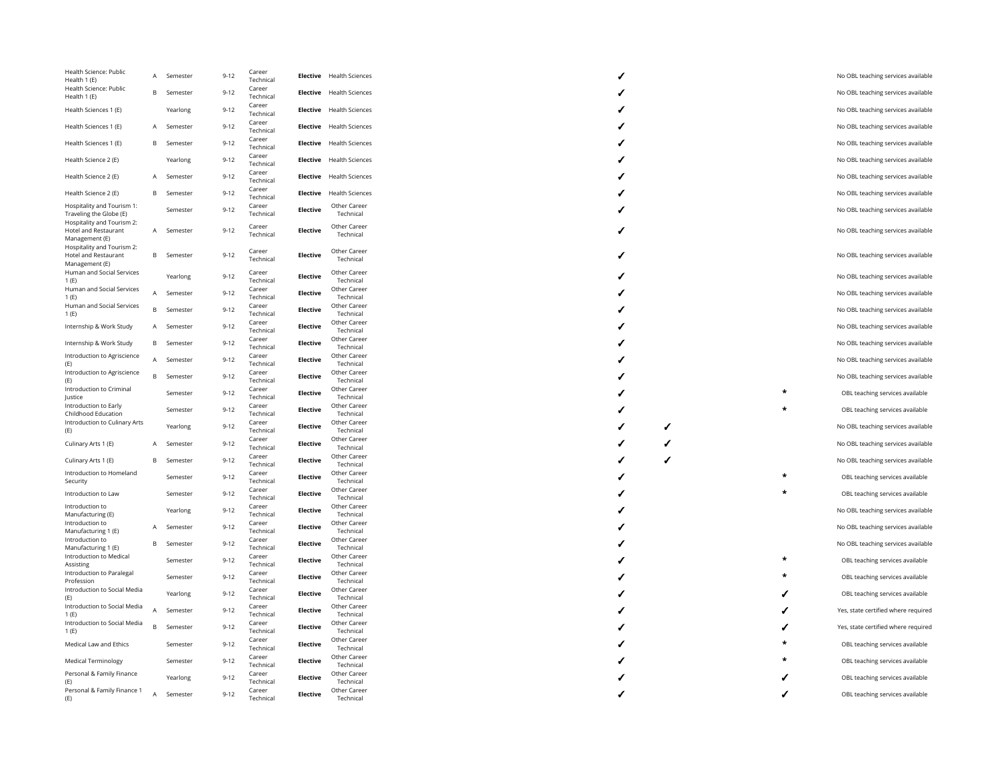| Health Science: Public<br>Health 1 (E)                               | A | Semester | $9 - 12$ | Career<br>Technical | <b>Elective</b> | <b>Health Sciences</b>    |
|----------------------------------------------------------------------|---|----------|----------|---------------------|-----------------|---------------------------|
| Health Science: Public                                               |   |          |          | Career              |                 |                           |
| Health 1 (E)                                                         | B | Semester | $9 - 12$ | Technical<br>Career | <b>Elective</b> | <b>Health Sciences</b>    |
| Health Sciences 1 (E)                                                |   | Yearlong | $9 - 12$ | Technical<br>Career | <b>Elective</b> | <b>Health Sciences</b>    |
| Health Sciences 1 (E)                                                | A | Semester | $9 - 12$ | Technical           | <b>Elective</b> | <b>Health Sciences</b>    |
| Health Sciences 1 (E)                                                | B | Semester | $9 - 12$ | Career<br>Technical | <b>Elective</b> | <b>Health Sciences</b>    |
| Health Science 2 (E)                                                 |   | Yearlong | $9 - 12$ | Career<br>Technical | <b>Elective</b> | <b>Health Sciences</b>    |
| Health Science 2 (E)                                                 | A | Semester | $9 - 12$ | Career<br>Technical | <b>Elective</b> | <b>Health Sciences</b>    |
| Health Science 2 (E)                                                 | B | Semester | $9 - 12$ | Career<br>Technical | <b>Elective</b> | <b>Health Sciences</b>    |
| Hospitality and Tourism 1:<br>Traveling the Globe (E)                |   | Semester | $9 - 12$ | Career<br>Technical | <b>Elective</b> | Other Career<br>Technical |
| Hospitality and Tourism 2:<br>Hotel and Restaurant<br>Management (E) | А | Semester | $9 - 12$ | Career<br>Technical | <b>Elective</b> | Other Career<br>Technical |
| Hospitality and Tourism 2:<br>Hotel and Restaurant<br>Management (E) | B | Semester | $9 - 12$ | Career<br>Technical | <b>Elective</b> | Other Career<br>Technical |
| Human and Social Services<br>1(E)                                    |   | Yearlong | $9 - 12$ | Career<br>Technical | <b>Elective</b> | Other Career<br>Technical |
| Human and Social Services<br>1(E)                                    | A | Semester | $9 - 12$ | Career<br>Technical | <b>Elective</b> | Other Career<br>Technical |
| Human and Social Services<br>1(E)                                    | B | Semester | $9 - 12$ | Career<br>Technical | <b>Elective</b> | Other Career<br>Technical |
| Internship & Work Study                                              | A | Semester | $9 - 12$ | Career<br>Technical | <b>Elective</b> | Other Career<br>Technical |
| Internship & Work Study                                              | B | Semester | $9 - 12$ | Career<br>Technical | <b>Elective</b> | Other Career<br>Technical |
| Introduction to Agriscience<br>(E)                                   | A | Semester | $9 - 12$ | Career<br>Technical | Elective        | Other Career<br>Technical |
| Introduction to Agriscience<br>(E)                                   | B | Semester | $9 - 12$ | Career<br>Technical | <b>Elective</b> | Other Career<br>Technical |
| Introduction to Criminal<br>Justice                                  |   | Semester | $9 - 12$ | Career<br>Technical | <b>Elective</b> | Other Career<br>Technical |
| Introduction to Early<br>Childhood Education                         |   | Semester | $9 - 12$ | Career<br>Technical | <b>Elective</b> | Other Career<br>Technical |
| Introduction to Culinary Arts<br>(E)                                 |   | Yearlong | $9 - 12$ | Career<br>Technical | <b>Elective</b> | Other Career<br>Technical |
| Culinary Arts 1 (E)                                                  | Α | Semester | $9 - 12$ | Career<br>Technical | <b>Elective</b> | Other Career<br>Technical |
| Culinary Arts 1 (E)                                                  | B | Semester | $9 - 12$ | Career<br>Technical | <b>Elective</b> | Other Career<br>Technical |
| Introduction to Homeland<br>Security                                 |   | Semester | $9 - 12$ | Career<br>Technical | <b>Elective</b> | Other Career<br>Technical |
| Introduction to Law                                                  |   | Semester | $9 - 12$ | Career<br>Technical | <b>Elective</b> | Other Career<br>Technical |
| Introduction to<br>Manufacturing (E)                                 |   | Yearlong | $9 - 12$ | Career<br>Technical | <b>Elective</b> | Other Career<br>Technical |
| Introduction to<br>Manufacturing 1 (E)                               | А | Semester | $9 - 12$ | Career<br>Technical | <b>Elective</b> | Other Career<br>Technical |
| Introduction to<br>Manufacturing 1 (E)                               | B | Semester | $9 - 12$ | Career<br>Technical | <b>Elective</b> | Other Career<br>Technical |
| Introduction to Medical<br>Assisting                                 |   | Semester | $9 - 12$ | Career<br>Technical | <b>Elective</b> | Other Career<br>Technical |
| Introduction to Paralegal<br>Profession                              |   | Semester | $9 - 12$ | Career<br>Technical | <b>Elective</b> | Other Career<br>Technical |
| Introduction to Social Media<br>(E)                                  |   | Yearlong | $9 - 12$ | Career<br>Technical | <b>Elective</b> | Other Career<br>Technical |
| Introduction to Social Media<br>1(E)                                 | A | Semester | $9 - 12$ | Career<br>Technical | <b>Elective</b> | Other Career<br>Technical |
| Introduction to Social Media<br>1(E)                                 | B | Semester | $9 - 12$ | Career<br>Technical | <b>Elective</b> | Other Career<br>Technical |
| Medical Law and Ethics                                               |   | Semester | $9 - 12$ | Career<br>Technical | <b>Elective</b> | Other Career<br>Technical |
| <b>Medical Terminology</b>                                           |   | Semester | $9 - 12$ | Career<br>Technical | <b>Elective</b> | Other Career<br>Technical |
| Personal & Family Finance<br>(E)                                     |   | Yearlong | $9 - 12$ | Career<br>Technical | <b>Elective</b> | Other Career<br>Technical |
| Personal & Family Finance 1<br>(E)                                   | A | Semester | $9 - 12$ | Career<br>Technical | <b>Elective</b> | Other Career<br>Technical |

|         | No OBL teaching services available  |
|---------|-------------------------------------|
|         | No OBL teaching services available  |
|         | No OBL teaching services available  |
|         | No OBL teaching services available  |
|         | No OBL teaching services available  |
|         | No OBL teaching services available  |
|         | No OBL teaching services available  |
|         | No OBL teaching services available  |
|         | No OBL teaching services available  |
|         | No OBL teaching services available  |
|         | No OBL teaching services available  |
|         | No OBL teaching services available  |
|         | No OBL teaching services available  |
|         | No OBL teaching services available  |
|         | No OBL teaching services available  |
|         | No OBL teaching services available  |
|         | No OBL teaching services available  |
|         | No OBL teaching services available  |
|         | OBL teaching services available     |
|         | OBL teaching services available     |
|         |                                     |
|         | No OBL teaching services available  |
|         | No OBL teaching services available  |
|         |                                     |
|         | No OBL teaching services available  |
| ٠       | OBL teaching services available     |
| ÷       | OBL teaching services available     |
|         | No OBL teaching services available  |
|         | No OBL teaching services available  |
|         | No OBL teaching services available  |
| $\star$ | OBL teaching services available     |
|         | OBL teaching services available     |
|         | OBL teaching services available     |
|         | Yes, state certified where required |
|         | Yes, state certified where required |
|         | OBL teaching services available     |
|         | OBL teaching services available     |
|         | OBL teaching services available     |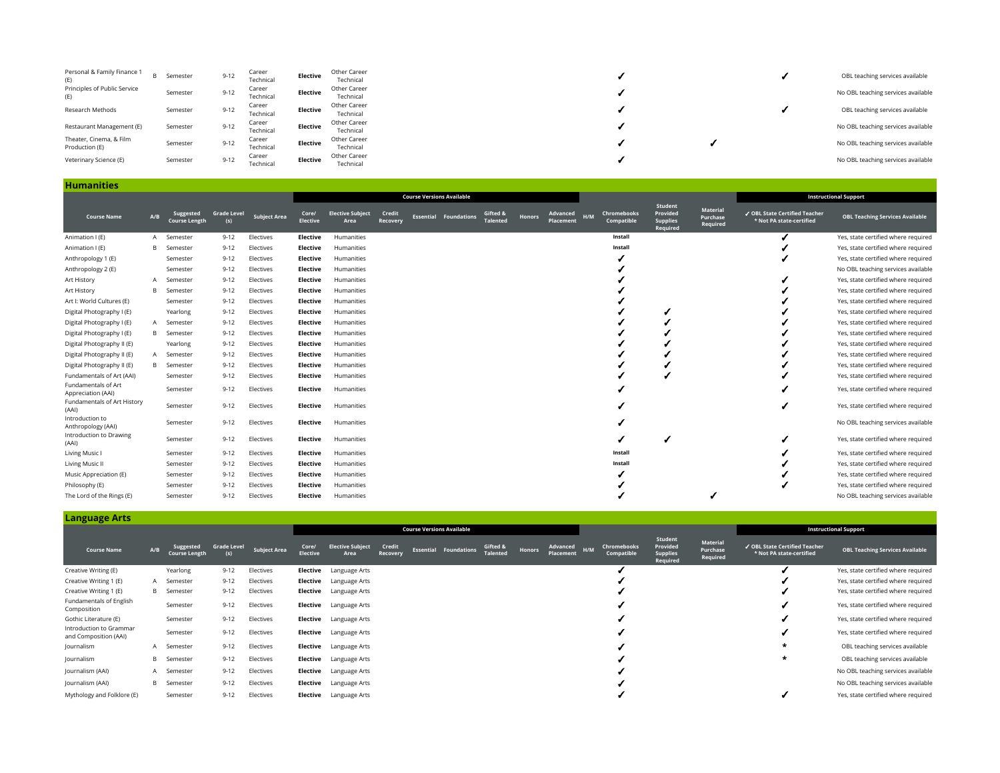| Personal & Family Finance 1<br>(E)        | <b>B</b> Semester | $9 - 12$ | Career<br>Technical | Elective | Other Career<br>Technical |  | OBL teaching services available    |
|-------------------------------------------|-------------------|----------|---------------------|----------|---------------------------|--|------------------------------------|
| Principles of Public Service<br>(E)       | Semester          | $9 - 12$ | Career<br>Technical | Elective | Other Career<br>Technical |  | No OBL teaching services available |
| Research Methods                          | Semester          | $9 - 12$ | Career<br>Technical | Elective | Other Career<br>Technical |  | OBL teaching services available    |
| Restaurant Management (E)                 | Semester          | $9 - 12$ | Career<br>Technical | Elective | Other Career<br>Technical |  | No OBL teaching services available |
| Theater, Cinema, & Film<br>Production (E) | Semester          | $9 - 12$ | Career<br>Technical | Elective | Other Career<br>Technical |  | No OBL teaching services available |
| Veterinary Science (E)                    | Semester          | $9 - 12$ | Career<br>Technical | Elective | Other Career<br>Technical |  | No OBL teaching services available |

|                                           |     |                                   |                           |                     |                          |                                 |                    | <b>Course Versions Available</b> |                    |                             |               |                       |     |                           |                                                    |                                  |                                                           | <b>Instructional Support</b>           |
|-------------------------------------------|-----|-----------------------------------|---------------------------|---------------------|--------------------------|---------------------------------|--------------------|----------------------------------|--------------------|-----------------------------|---------------|-----------------------|-----|---------------------------|----------------------------------------------------|----------------------------------|-----------------------------------------------------------|----------------------------------------|
| <b>Course Name</b>                        | A/B | Suggested<br><b>Course Length</b> | <b>Grade Level</b><br>(s) | <b>Subject Area</b> | Core/<br><b>Elective</b> | <b>Elective Subject</b><br>Area | Credit<br>Recovery | Essential                        | <b>Foundations</b> | Gifted &<br><b>Talented</b> | <b>Honors</b> | Advanced<br>Placement | H/M | Chromebooks<br>Compatible | Student<br>Provided<br><b>Supplies</b><br>Required | Material<br>Purchase<br>Required | ✔ OBL State Certified Teacher<br>* Not PA state-certified | <b>OBL Teaching Services Available</b> |
| Animation I (E)                           | A   | Semester                          | $9 - 12$                  | Electives           | <b>Elective</b>          | Humanities                      |                    |                                  |                    |                             |               |                       |     | Install                   |                                                    |                                  |                                                           | Yes, state certified where required    |
| Animation I (E)                           | B   | Semester                          | $9 - 12$                  | Electives           | <b>Elective</b>          | Humanities                      |                    |                                  |                    |                             |               |                       |     | Install                   |                                                    |                                  |                                                           | Yes, state certified where required    |
| Anthropology 1 (E)                        |     | Semester                          | $9 - 12$                  | Electives           | <b>Elective</b>          | Humanities                      |                    |                                  |                    |                             |               |                       |     |                           |                                                    |                                  |                                                           | Yes, state certified where required    |
| Anthropology 2 (E)                        |     | Semester                          | $9 - 12$                  | Electives           | <b>Elective</b>          | Humanities                      |                    |                                  |                    |                             |               |                       |     |                           |                                                    |                                  |                                                           | No OBL teaching services available     |
| Art History                               | A   | Semester                          | $9 - 12$                  | Electives           | <b>Elective</b>          | Humanities                      |                    |                                  |                    |                             |               |                       |     |                           |                                                    |                                  |                                                           | Yes, state certified where required    |
| Art History                               | B   | Semester                          | $9 - 12$                  | Electives           | Elective                 | Humanities                      |                    |                                  |                    |                             |               |                       |     |                           |                                                    |                                  |                                                           | Yes, state certified where required    |
| Art I: World Cultures (E)                 |     | Semester                          | $9 - 12$                  | Electives           | <b>Elective</b>          | Humanities                      |                    |                                  |                    |                             |               |                       |     |                           |                                                    |                                  |                                                           | Yes, state certified where required    |
| Digital Photography I (E)                 |     | Yearlong                          | $9 - 12$                  | Electives           | <b>Elective</b>          | Humanities                      |                    |                                  |                    |                             |               |                       |     |                           |                                                    |                                  |                                                           | Yes, state certified where required    |
| Digital Photography I (E)                 |     | A Semester                        | $9 - 12$                  | Electives           | <b>Elective</b>          | Humanities                      |                    |                                  |                    |                             |               |                       |     |                           |                                                    |                                  |                                                           | Yes, state certified where required    |
| Digital Photography I (E)                 |     | <b>B</b> Semester                 | $9 - 12$                  | Electives           | <b>Elective</b>          | Humanities                      |                    |                                  |                    |                             |               |                       |     |                           |                                                    |                                  |                                                           | Yes, state certified where required    |
| Digital Photography II (E)                |     | Yearlong                          | $9 - 12$                  | Electives           | <b>Elective</b>          | Humanities                      |                    |                                  |                    |                             |               |                       |     |                           |                                                    |                                  |                                                           | Yes, state certified where required    |
| Digital Photography II (E)                | A   | Semester                          | $9 - 12$                  | Electives           | <b>Elective</b>          | Humanities                      |                    |                                  |                    |                             |               |                       |     |                           |                                                    |                                  |                                                           | Yes, state certified where required    |
| Digital Photography II (E)                | B   | Semester                          | $9 - 12$                  | Electives           | <b>Elective</b>          | Humanities                      |                    |                                  |                    |                             |               |                       |     |                           |                                                    |                                  |                                                           | Yes, state certified where required    |
| Fundamentals of Art (AAI)                 |     | Semester                          | $9 - 12$                  | Electives           | Elective                 | Humanities                      |                    |                                  |                    |                             |               |                       |     |                           |                                                    |                                  |                                                           | Yes, state certified where required    |
| Fundamentals of Art<br>Appreciation (AAI) |     | Semester                          | $9 - 12$                  | Electives           | Elective                 | Humanities                      |                    |                                  |                    |                             |               |                       |     |                           |                                                    |                                  |                                                           | Yes, state certified where required    |
| Fundamentals of Art History<br>(AAI)      |     | Semester                          | $9 - 12$                  | Electives           | Elective                 | Humanities                      |                    |                                  |                    |                             |               |                       |     |                           |                                                    |                                  |                                                           | Yes, state certified where required    |
| Introduction to<br>Anthropology (AAI)     |     | Semester                          | $9 - 12$                  | Electives           | Elective                 | Humanities                      |                    |                                  |                    |                             |               |                       |     |                           |                                                    |                                  |                                                           | No OBL teaching services available     |
| Introduction to Drawing<br>(AAI)          |     | Semester                          | $9 - 12$                  | Electives           | <b>Elective</b>          | Humanities                      |                    |                                  |                    |                             |               |                       |     |                           |                                                    |                                  |                                                           | Yes, state certified where required    |
| Living Music                              |     | Semester                          | $9 - 12$                  | Electives           | <b>Elective</b>          | Humanities                      |                    |                                  |                    |                             |               |                       |     | Install                   |                                                    |                                  |                                                           | Yes, state certified where required    |
| Living Music II                           |     | Semester                          | $9 - 12$                  | Electives           | <b>Elective</b>          | Humanities                      |                    |                                  |                    |                             |               |                       |     | Install                   |                                                    |                                  |                                                           | Yes, state certified where required    |
| Music Appreciation (E)                    |     | Semester                          | $9 - 12$                  | Electives           | <b>Elective</b>          | Humanities                      |                    |                                  |                    |                             |               |                       |     |                           |                                                    |                                  |                                                           | Yes, state certified where required    |
| Philosophy (E)                            |     | Semester                          | $9 - 12$                  | Electives           | Elective                 | Humanities                      |                    |                                  |                    |                             |               |                       |     |                           |                                                    |                                  |                                                           | Yes, state certified where required    |
| The Lord of the Rings (E)                 |     | Semester                          | $9 - 12$                  | Electives           | <b>Elective</b>          | Humanities                      |                    |                                  |                    |                             |               |                       |     |                           |                                                    |                                  |                                                           | No OBL teaching services available     |

**Language Arts**

**Humanities**

| Language Arts                                    |     |                                   |                           |                     |                   |                                 |                    |                                  |                              |                             |               |                           |                           |                                                    |                                  |                                                           |                                        |
|--------------------------------------------------|-----|-----------------------------------|---------------------------|---------------------|-------------------|---------------------------------|--------------------|----------------------------------|------------------------------|-----------------------------|---------------|---------------------------|---------------------------|----------------------------------------------------|----------------------------------|-----------------------------------------------------------|----------------------------------------|
|                                                  |     |                                   |                           |                     |                   |                                 |                    | <b>Course Versions Available</b> |                              |                             |               |                           |                           |                                                    |                                  |                                                           | <b>Instructional Support</b>           |
| <b>Course Name</b>                               | A/B | Suggested<br><b>Course Length</b> | <b>Grade Level</b><br>(s) | <b>Subject Area</b> | Core/<br>Elective | <b>Elective Subject</b><br>Area | Credit<br>Recovery |                                  | <b>Essential Foundations</b> | Gifted &<br><b>Talented</b> | <b>Honors</b> | Advanced H/M<br>Placement | Chromebooks<br>Compatible | Student<br>Provided<br><b>Supplies</b><br>Required | Material<br>Purchase<br>Required | √ OBL State Certified Teacher<br>* Not PA state-certified | <b>OBL Teaching Services Available</b> |
| Creative Writing (E)                             |     | Yearlong                          | $9 - 12$                  | Electives           |                   | <b>Elective</b> Language Arts   |                    |                                  |                              |                             |               |                           |                           |                                                    |                                  |                                                           | Yes, state certified where required    |
| Creative Writing 1 (E)                           |     | A Semester                        | $9 - 12$                  | Electives           |                   | <b>Elective</b> Language Arts   |                    |                                  |                              |                             |               |                           |                           |                                                    |                                  |                                                           | Yes, state certified where required    |
| Creative Writing 1 (E)                           |     | <b>B</b> Semester                 | $9 - 12$                  | Electives           |                   | <b>Elective</b> Language Arts   |                    |                                  |                              |                             |               |                           |                           |                                                    |                                  |                                                           | Yes, state certified where required    |
| Fundamentals of English<br>Composition           |     | Semester                          | $9 - 12$                  | Electives           |                   | <b>Elective</b> Language Arts   |                    |                                  |                              |                             |               |                           |                           |                                                    |                                  |                                                           | Yes, state certified where required    |
| Gothic Literature (E)                            |     | Semester                          | $9 - 12$                  | Electives           |                   | <b>Elective</b> Language Arts   |                    |                                  |                              |                             |               |                           |                           |                                                    |                                  |                                                           | Yes, state certified where required    |
| Introduction to Grammar<br>and Composition (AAI) |     | Semester                          | $9 - 12$                  | Electives           |                   | <b>Elective</b> Language Arts   |                    |                                  |                              |                             |               |                           |                           |                                                    |                                  |                                                           | Yes, state certified where required    |
| Journalism                                       |     | A Semester                        | $9 - 12$                  | Electives           |                   | <b>Elective</b> Language Arts   |                    |                                  |                              |                             |               |                           |                           |                                                    |                                  | *                                                         | OBL teaching services available        |
| Journalism                                       | B   | Semester                          | $9 - 12$                  | Electives           |                   | <b>Elective</b> Language Arts   |                    |                                  |                              |                             |               |                           |                           |                                                    |                                  | *                                                         | OBL teaching services available        |
| Journalism (AAI)                                 |     | A Semester                        | $9 - 12$                  | Electives           |                   | <b>Elective</b> Language Arts   |                    |                                  |                              |                             |               |                           |                           |                                                    |                                  |                                                           | No OBL teaching services available     |
| Journalism (AAI)                                 |     | <b>B</b> Semester                 | $9 - 12$                  | Electives           |                   | <b>Elective</b> Language Arts   |                    |                                  |                              |                             |               |                           |                           |                                                    |                                  |                                                           | No OBL teaching services available     |
| Mythology and Folklore (E)                       |     | Semester                          | $9 - 12$                  | Electives           |                   | <b>Elective</b> Language Arts   |                    |                                  |                              |                             |               |                           |                           |                                                    |                                  |                                                           | Yes, state certified where required    |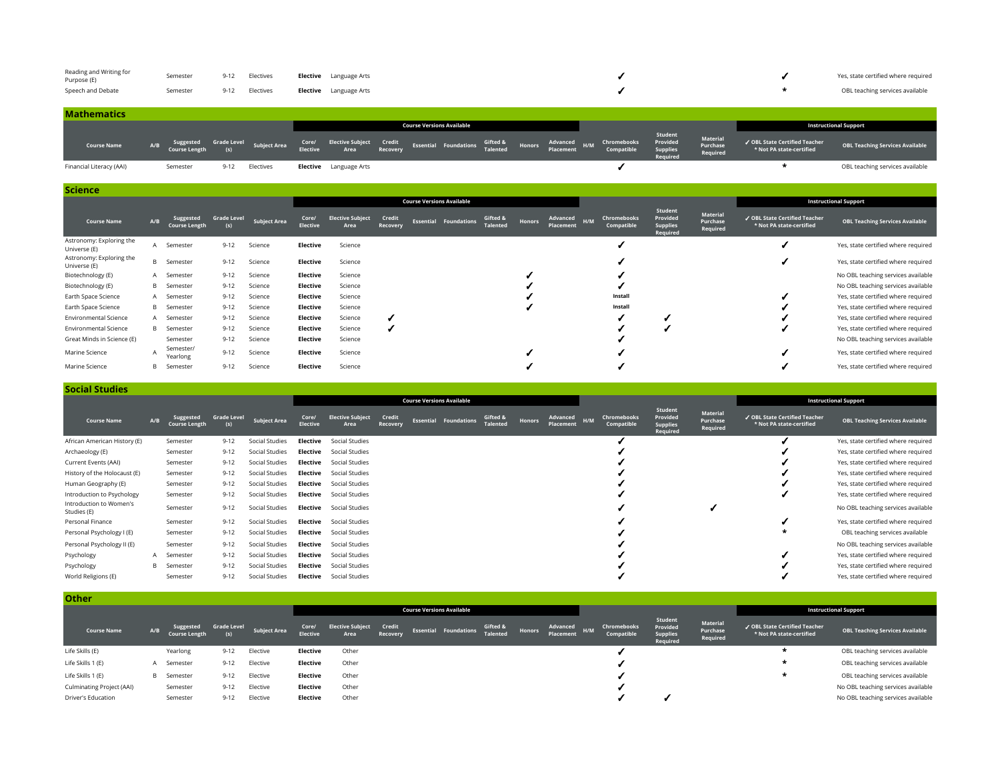| Reading and Writing for<br>Purpose (E) | Semester | 9-12 Electives | <b>Elective</b> Language Arts |  | Yes, state certified where required |
|----------------------------------------|----------|----------------|-------------------------------|--|-------------------------------------|
| Speech and Debate                      | Semester | 9-12 Electives | <b>Elective</b> Language Arts |  | OBL teaching services available     |

| <b>Mathematics</b>       |     |          |          |                                                                         |                                                                                                                                                                                                  |  |                                  |  |  |                     |                                  |                                                           |                                        |
|--------------------------|-----|----------|----------|-------------------------------------------------------------------------|--------------------------------------------------------------------------------------------------------------------------------------------------------------------------------------------------|--|----------------------------------|--|--|---------------------|----------------------------------|-----------------------------------------------------------|----------------------------------------|
|                          |     |          |          |                                                                         |                                                                                                                                                                                                  |  | <b>Course Versions Available</b> |  |  |                     |                                  |                                                           | <b>Instructional Support</b>           |
| <b>Course Name</b>       | A/B |          |          | Suggested Grade Level Subject Area<br>Course Length (s)    Subject Area | Core/ Elective Subject Credit Essential Foundations Gifted & Honors Advanced H/M Chromebooks Provided<br>Elective Area Recovery Essential Foundations Talented Placement H/M Compatible Supplies |  |                                  |  |  | Student<br>Required | Material<br>Purchase<br>Required | ✔ OBL State Certified Teacher<br>* Not PA state-certified | <b>OBL Teaching Services Available</b> |
| Financial Literacy (AAI) |     | Semester | $9 - 12$ | Electives                                                               | <b>Elective</b> Language Arts                                                                                                                                                                    |  |                                  |  |  |                     |                                  |                                                           | OBL teaching services available        |

| <b>Science</b>                           |        |                                   |                           |                     |                          |                                 |                    |                                  |                             |        |                       |     |                           |                                                    |                                  |                                                           |                                        |
|------------------------------------------|--------|-----------------------------------|---------------------------|---------------------|--------------------------|---------------------------------|--------------------|----------------------------------|-----------------------------|--------|-----------------------|-----|---------------------------|----------------------------------------------------|----------------------------------|-----------------------------------------------------------|----------------------------------------|
|                                          |        |                                   |                           |                     |                          |                                 |                    | <b>Course Versions Available</b> |                             |        |                       |     |                           |                                                    |                                  |                                                           | <b>Instructional Support</b>           |
| <b>Course Name</b>                       | A/B    | Suggested<br><b>Course Length</b> | <b>Grade Level</b><br>(s) | <b>Subject Area</b> | Core/<br><b>Elective</b> | <b>Elective Subject</b><br>Area | Credit<br>Recovery | <b>Essential Foundations</b>     | Gifted &<br><b>Talented</b> | Honors | Advanced<br>Placement | H/M | Chromebooks<br>Compatible | Student<br>Provided<br><b>Supplies</b><br>Required | Material<br>Purchase<br>Required | √ OBL State Certified Teacher<br>* Not PA state-certified | <b>OBL Teaching Services Available</b> |
| Astronomy: Exploring the<br>Universe (E) | A      | Semester                          | $9 - 12$                  | Science             | Elective                 | Science                         |                    |                                  |                             |        |                       |     |                           |                                                    |                                  |                                                           | Yes, state certified where required    |
| Astronomy: Exploring the<br>Universe (E) |        | <b>B</b> Semester                 | $9 - 12$                  | Science             | Elective                 | Science                         |                    |                                  |                             |        |                       |     |                           |                                                    |                                  |                                                           | Yes, state certified where required    |
| Biotechnology (E)                        |        | A Semester                        | $9 - 12$                  | Science             | Elective                 | Science                         |                    |                                  |                             |        |                       |     |                           |                                                    |                                  |                                                           | No OBL teaching services available     |
| Biotechnology (E)                        |        | <b>B</b> Semester                 | $9 - 12$                  | Science             | Elective                 | Science                         |                    |                                  |                             |        |                       |     |                           |                                                    |                                  |                                                           | No OBL teaching services available     |
| Earth Space Science                      |        | A Semester                        | $9 - 12$                  | Science             | Elective                 | Science                         |                    |                                  |                             |        |                       |     | Install                   |                                                    |                                  |                                                           | Yes, state certified where required    |
| Earth Space Science                      |        | <b>B</b> Semester                 | $9 - 12$                  | Science             | Elective                 | Science                         |                    |                                  |                             |        |                       |     | Install                   |                                                    |                                  |                                                           | Yes, state certified where required    |
| <b>Environmental Science</b>             |        | A Semester                        | $9 - 12$                  | Science             | Elective                 | Science                         |                    |                                  |                             |        |                       |     |                           |                                                    |                                  |                                                           | Yes, state certified where required    |
| <b>Environmental Science</b>             |        | <b>B</b> Semester                 | $9 - 12$                  | Science             | Elective                 | Science                         |                    |                                  |                             |        |                       |     |                           |                                                    |                                  |                                                           | Yes, state certified where required    |
| Great Minds in Science (E)               |        | Semester                          | $9 - 12$                  | Science             | Elective                 | Science                         |                    |                                  |                             |        |                       |     |                           |                                                    |                                  |                                                           | No OBL teaching services available     |
| Marine Science                           | $\sim$ | Semester/<br>Yearlong             | $9 - 12$                  | Science             | Elective                 | Science                         |                    |                                  |                             |        |                       |     |                           |                                                    |                                  |                                                           | Yes, state certified where required    |
| Marine Science                           | B      | Semester                          | $9 - 12$                  | Science             | Elective                 | Science                         |                    |                                  |                             |        |                       |     |                           |                                                    |                                  |                                                           | Yes, state certified where required    |

**Social Studies Course Versions Available Instructional Support Course Name A/B Suggested Course Length Grade Level (s) Subject Area Core/ Elective Elective Subject Area Credit Recovery Essential Foundations Gifted & Talented Honors Advanced Placement H/M Chromebooks Compatible Student Provided Supplies Required Material Purchase Required** ✓ **OBL State Certified Teacher OBL Teaching Services Available** African American History (E) Semester 9-12 Social Studies **Elective** Social Studies ✓ ✓ Yes, state certified where required Archaeology (E) Semester 9-12 Social Studies **Elective** Social Studies **in Elective** Social Studies **in Elective** Social Studies **in Elective** of the sequired where required verse required verse required verse required an Current Events (AAI) Semester 9-12 Social Studies **Elective** Social Studies ✓ ✓ Yes, state certified where required History of the Holocaust (E) Semester 9-12 Social Studies **Elective** Social Studies **Elective** Social Studies **Elective** Social Studies Human Geography (E) Semester 9-12 Social Studies **Elective** Social Studies **in Elective** Social Studies in Social Studies in the Social Studies of the Social Studies of the Social Studies of the Social Studies of the Soci Introduction to Psychology Semester 9-12 Social Studies **Elective** Social Studies **interval Studies** Semester 9-12 Social Studies **Elective** Social Studies Introduction to Women's Introduction to women's Semester 9-12 Social Studies **Elective** Social Studies<br>Studies (E) No OBL teaching services available Personal Finance Semester 9-12 Social Studies **Elective** Social Studies **in Social Studies** Social Studies in Social Studies in Social Studies in Social Studies in Social Studies in Social Studies in Social Studies in Soc Personal Psychology I (E) Semester 9-12 Social Studies **Elective** Social Studies **Elective** Social Studies **Elective** Social Studies **in Elective** Social Studies **in Elective** Social Studies **in Elective** Social Studies Personal Psychology II (E) Semester 9-12 Social Studies **Elective** Social Studies **Elective** Social Studies **Elective** Social Studies **in the contract of the contract of the contract of the contract of the contract of the** Psychology **A** Semester 9-12 Social Studies **Elective** Social Studies **in Studies** Social Studies **Properties** Social Studies in Semester 9-12 Social Studies **Elective** Social Studies **in Studies** and the sequent of the s Psychology B Semester 9-12 Social Studies **Elective** Social Studies **in Studies** Social Studies **in Studies** Social Studies in Studies **in Studies** and the versual of the Ves, state certified where required World Religions (E) Semester 9-12 Social Studies **Elective** Social Studies **in Elective** Social Studies in the Social Studies in the Social Studies of the Social Studies of the Social Studies of the Social Studies of the

**Other Course Versions Available Instructional Support Course Name A/B Suggested Course Length Grade Level (s) Subject Area Core/ Elective Elective Subject Area Credit Recovery Essential Foundations Gifted & Talented Honors Advanced Placement H/M Chromebooks Compatible Student Provided Supplies Required Material Purchase Required** ✓ **OBL State Certified Teacher \* Not PA state-certified OBL Teaching Services Available** Life Skills (E) Yearlong 9-12 Elective **Elective** Other ✓ **\*** OBL teaching services available Life Skills 1 (E) <sup>A</sup> Semester 9-12 Elective **Elective** Other ✓ **\*** OBL teaching services available Life Skills 1 (E) <sup>B</sup> Semester 9-12 Elective **Elective** Other ✓ **\*** OBL teaching services available Culminating Project (AAI) Semester 9-12 Elective **Elective** Other ✓ No OBL teaching services available Driver's Education Semester 9-12 Elective **Elective** Other ✓ ✓ No OBL teaching services available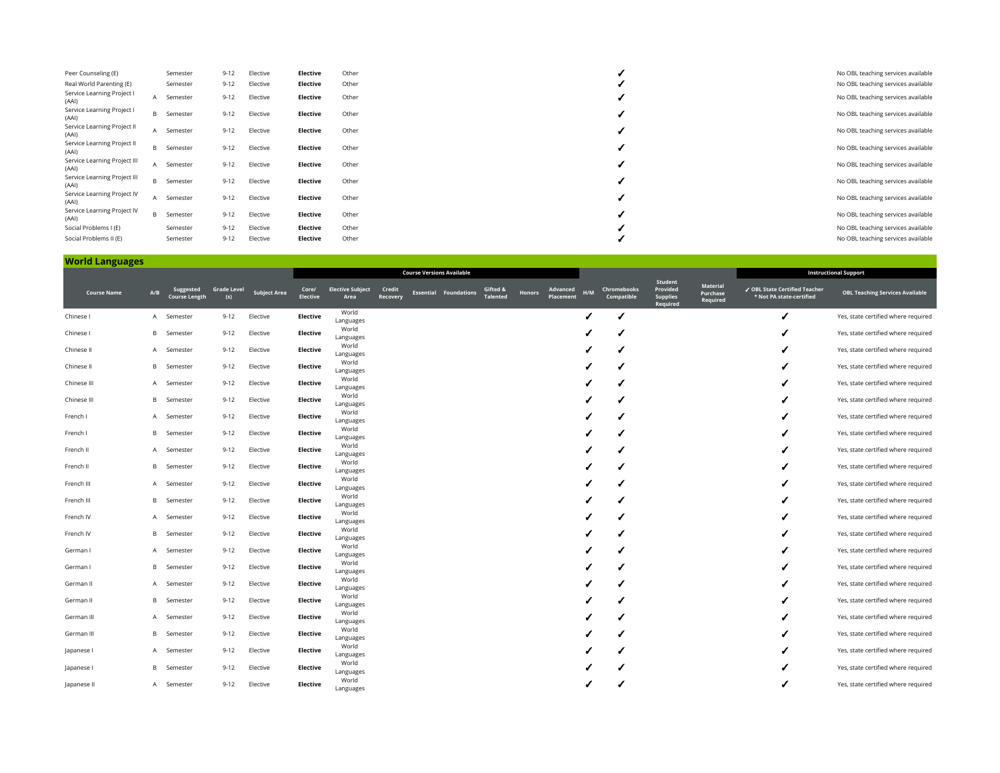| Peer Counseling (E)                   |   | Semester          | $9 - 12$ | Elective | Elective | Other | No OBL teaching services available |
|---------------------------------------|---|-------------------|----------|----------|----------|-------|------------------------------------|
| Real World Parenting (E)              |   | Semester          | $9 - 12$ | Elective | Elective | Other | No OBL teaching services available |
| Service Learning Project I<br>(AAI)   | A | Semester          | $9 - 12$ | Elective | Elective | Other | No OBL teaching services available |
| Service Learning Project I<br>(AAI)   |   | <b>B</b> Semester | $9 - 12$ | Elective | Elective | Other | No OBL teaching services available |
| Service Learning Project II<br>(AAI)  | A | Semester          | $9 - 12$ | Elective | Elective | Other | No OBL teaching services available |
| Service Learning Project II<br>(AAI)  |   | <b>B</b> Semester | $9 - 12$ | Elective | Elective | Other | No OBL teaching services available |
| Service Learning Project III<br>(AAI) | A | Semester          | $9 - 12$ | Elective | Elective | Other | No OBL teaching services available |
| Service Learning Project III<br>(AAI) |   | <b>B</b> Semester | $9 - 12$ | Elective | Elective | Other | No OBL teaching services available |
| Service Learning Project IV<br>(AAI)  | A | Semester          | $9 - 12$ | Elective | Elective | Other | No OBL teaching services available |
| Service Learning Project IV<br>(AAI)  |   | <b>B</b> Semester | $9 - 12$ | Elective | Elective | Other | No OBL teaching services available |
| Social Problems I (E)                 |   | Semester          | $9 - 12$ | Elective | Elective | Other | No OBL teaching services available |
| Social Problems II (E)                |   | Semester          | $9 - 12$ | Elective | Elective | Other | No OBL teaching services available |

#### **World Languages**

| . .                |              |                                   |                           |                     |                          |                                 |                    | <b>Course Versions Available</b> |                              |                             |               |                       |     |                           |                                                    |                                  |                                                           | <b>Instructional Support</b>           |
|--------------------|--------------|-----------------------------------|---------------------------|---------------------|--------------------------|---------------------------------|--------------------|----------------------------------|------------------------------|-----------------------------|---------------|-----------------------|-----|---------------------------|----------------------------------------------------|----------------------------------|-----------------------------------------------------------|----------------------------------------|
| <b>Course Name</b> | A/B          | Suggested<br><b>Course Length</b> | <b>Grade Level</b><br>(s) | <b>Subject Area</b> | Core/<br><b>Elective</b> | <b>Elective Subject</b><br>Area | Credit<br>Recovery |                                  | <b>Essential Foundations</b> | Gifted &<br><b>Talented</b> | <b>Honors</b> | Advanced<br>Placement | H/M | Chromebooks<br>Compatible | Student<br>Provided<br><b>Supplies</b><br>Required | Material<br>Purchase<br>Required | √ OBL State Certified Teacher<br>* Not PA state-certified | <b>OBL Teaching Services Available</b> |
| Chinese I          |              | A Semester                        | $9 - 12$                  | Elective            | <b>Elective</b>          | World<br>Languages              |                    |                                  |                              |                             |               |                       |     |                           |                                                    |                                  |                                                           | Yes, state certified where required    |
| Chinese I          | B.           | Semester                          | $9 - 12$                  | Elective            | <b>Elective</b>          | World<br>Languages              |                    |                                  |                              |                             |               |                       |     |                           |                                                    |                                  |                                                           | Yes, state certified where required    |
| Chinese II         |              | A Semester                        | $9 - 12$                  | Elective            | <b>Elective</b>          | World<br>Languages              |                    |                                  |                              |                             |               |                       |     |                           |                                                    |                                  |                                                           | Yes, state certified where required    |
| Chinese II         | B            | Semester                          | $9 - 12$                  | Elective            | <b>Elective</b>          | World<br>Languages              |                    |                                  |                              |                             |               |                       |     |                           |                                                    |                                  |                                                           | Yes, state certified where required    |
| Chinese III        |              | A Semester                        | $9 - 12$                  | Elective            | <b>Elective</b>          | World<br>Languages              |                    |                                  |                              |                             |               |                       |     |                           |                                                    |                                  |                                                           | Yes, state certified where required    |
| Chinese III        | B            | Semester                          | $9 - 12$                  | Elective            | <b>Elective</b>          | World<br>Languages              |                    |                                  |                              |                             |               |                       |     |                           |                                                    |                                  |                                                           | Yes, state certified where required    |
| French I           |              | A Semester                        | $9 - 12$                  | Elective            | <b>Elective</b>          | World<br>Languages              |                    |                                  |                              |                             |               |                       |     |                           |                                                    |                                  |                                                           | Yes, state certified where required    |
| French I           |              | <b>B</b> Semester                 | $9 - 12$                  | Elective            | <b>Elective</b>          | World<br>Languages              |                    |                                  |                              |                             |               |                       |     |                           |                                                    |                                  |                                                           | Yes, state certified where required    |
| French II          |              | A Semester                        | $9 - 12$                  | Elective            | <b>Elective</b>          | World<br>Languages              |                    |                                  |                              |                             |               |                       |     |                           |                                                    |                                  |                                                           | Yes, state certified where required    |
| French II          |              | <b>B</b> Semester                 | $9 - 12$                  | Elective            | Elective                 | World                           |                    |                                  |                              |                             |               |                       |     |                           |                                                    |                                  |                                                           | Yes, state certified where required    |
| French III         |              | A Semester                        | $9 - 12$                  | Elective            | Elective                 | Languages<br>World              |                    |                                  |                              |                             |               |                       |     |                           |                                                    |                                  |                                                           | Yes, state certified where required    |
| French III         | B            | Semester                          | $9 - 12$                  | Elective            | <b>Elective</b>          | Languages<br>World              |                    |                                  |                              |                             |               |                       |     |                           |                                                    |                                  |                                                           | Yes, state certified where required    |
| French IV          | A            | Semester                          | $9 - 12$                  | Elective            | <b>Elective</b>          | Languages<br>World              |                    |                                  |                              |                             |               |                       |     |                           |                                                    |                                  |                                                           | Yes, state certified where required    |
| French IV          |              | <b>B</b> Semester                 | $9 - 12$                  | Elective            | Elective                 | Languages<br>World              |                    |                                  |                              |                             |               |                       |     |                           |                                                    |                                  |                                                           | Yes, state certified where required    |
| German I           | $\mathsf{A}$ | Semester                          | $9 - 12$                  | Elective            | <b>Elective</b>          | Languages<br>World              |                    |                                  |                              |                             |               |                       |     |                           |                                                    |                                  |                                                           | Yes, state certified where required    |
| German I           | B            | Semester                          | $9 - 12$                  | Elective            | <b>Elective</b>          | Languages<br>World              |                    |                                  |                              |                             |               |                       |     |                           |                                                    |                                  |                                                           | Yes, state certified where required    |
| German II          | $\mathsf{A}$ | Semester                          | $9 - 12$                  | Elective            | <b>Elective</b>          | Languages<br>World              |                    |                                  |                              |                             |               |                       |     |                           |                                                    |                                  |                                                           | Yes, state certified where required    |
| German II          | B            | Semester                          | $9 - 12$                  | Elective            | <b>Elective</b>          | Languages<br>World              |                    |                                  |                              |                             |               |                       |     |                           |                                                    |                                  |                                                           | Yes, state certified where required    |
| German III         | A            | Semester                          | $9 - 12$                  | Elective            | <b>Elective</b>          | Languages<br>World              |                    |                                  |                              |                             |               |                       |     |                           |                                                    |                                  |                                                           | Yes, state certified where required    |
|                    | B            |                                   |                           |                     |                          | Languages<br>World              |                    |                                  |                              |                             |               |                       |     |                           |                                                    |                                  |                                                           |                                        |
| German III         |              | Semester                          | $9 - 12$                  | Elective            | <b>Elective</b>          | Languages<br>World              |                    |                                  |                              |                             |               |                       |     |                           |                                                    |                                  |                                                           | Yes, state certified where required    |
| Japanese I         | A            | Semester                          | $9 - 12$                  | Elective            | <b>Elective</b>          | Languages<br>World              |                    |                                  |                              |                             |               |                       |     |                           |                                                    |                                  |                                                           | Yes, state certified where required    |
| Japanese I         | B            | Semester                          | $9 - 12$                  | Elective            | <b>Elective</b>          | Languages<br>World              |                    |                                  |                              |                             |               |                       |     |                           |                                                    |                                  |                                                           | Yes, state certified where required    |
| Japanese II        | A            | Semester                          | $9 - 12$                  | Elective            | <b>Elective</b>          | Languages                       |                    |                                  |                              |                             |               |                       |     |                           |                                                    |                                  |                                                           | Yes, state certified where required    |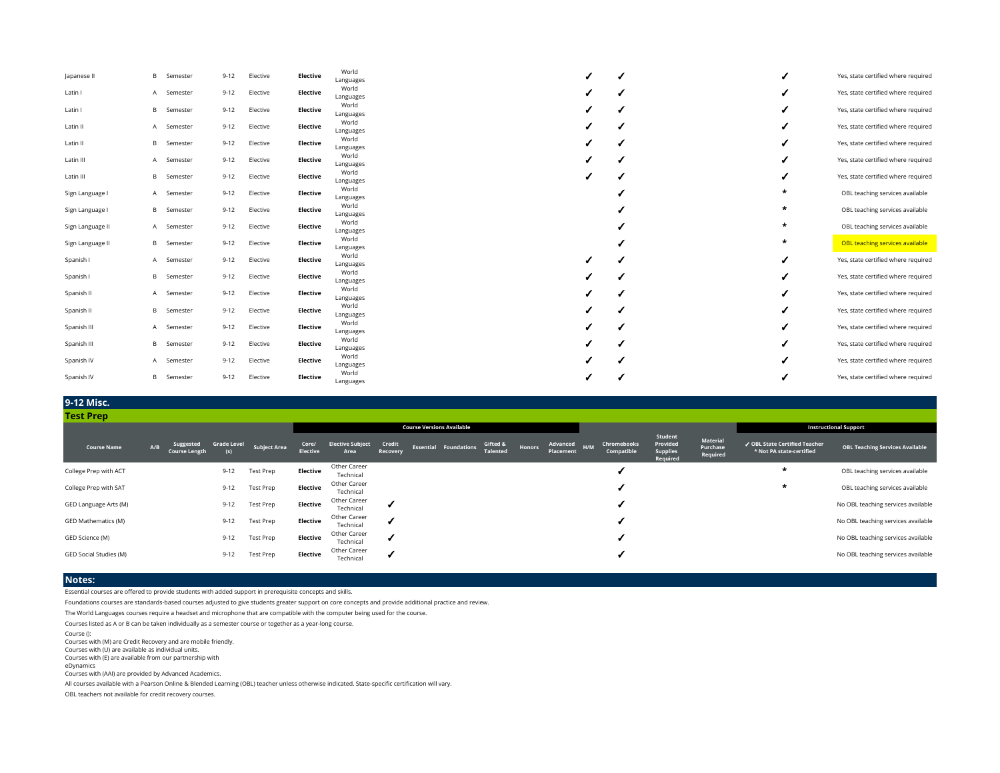| Japanese II      | B | Semester          | $9 - 12$ | Elective | <b>Elective</b> | World<br>Languages |  |  |         | Yes, state certified where required |
|------------------|---|-------------------|----------|----------|-----------------|--------------------|--|--|---------|-------------------------------------|
| Latin I          |   | A Semester        | $9 - 12$ | Elective | Elective        | World<br>Languages |  |  |         | Yes, state certified where required |
| Latin I          | B | Semester          | $9 - 12$ | Elective | Elective        | World<br>Languages |  |  |         | Yes, state certified where required |
| Latin II         |   | A Semester        | $9 - 12$ | Elective | Elective        | World<br>Languages |  |  |         | Yes, state certified where required |
| Latin II         | B | Semester          | $9 - 12$ | Elective | <b>Elective</b> | World<br>Languages |  |  |         | Yes, state certified where required |
| Latin III        |   | A Semester        | $9 - 12$ | Elective | Elective        | World<br>Languages |  |  |         | Yes, state certified where required |
| Latin III        | B | Semester          | $9 - 12$ | Elective | <b>Elective</b> | World<br>Languages |  |  |         | Yes, state certified where required |
| Sign Language I  |   | A Semester        | $9 - 12$ | Elective | Elective        | World<br>Languages |  |  | ÷       | OBL teaching services available     |
| Sign Language I  |   | <b>B</b> Semester | $9 - 12$ | Elective | Elective        | World<br>Languages |  |  | ÷       | OBL teaching services available     |
| Sign Language II |   | A Semester        | $9 - 12$ | Elective | Elective        | World<br>Languages |  |  | $\ast$  | OBL teaching services available     |
| Sign Language II |   | <b>B</b> Semester | $9 - 12$ | Elective | Elective        | World<br>Languages |  |  | $\star$ | OBL teaching services available     |
| Spanish I        |   | A Semester        | $9 - 12$ | Elective | Elective        | World<br>Languages |  |  |         | Yes, state certified where required |
| Spanish I        |   | <b>B</b> Semester | $9 - 12$ | Elective | Elective        | World<br>Languages |  |  |         | Yes, state certified where required |
| Spanish II       |   | A Semester        | $9 - 12$ | Elective | <b>Elective</b> | World<br>Languages |  |  |         | Yes, state certified where required |
| Spanish II       | B | Semester          | $9 - 12$ | Elective | <b>Elective</b> | World<br>Languages |  |  |         | Yes, state certified where required |
| Spanish III      |   | A Semester        | $9 - 12$ | Elective | <b>Elective</b> | World<br>Languages |  |  |         | Yes, state certified where required |
| Spanish III      | B | Semester          | $9 - 12$ | Elective | Elective        | World<br>Languages |  |  |         | Yes, state certified where required |
| Spanish IV       |   | A Semester        | $9 - 12$ | Elective | Elective        | World<br>Languages |  |  |         | Yes, state certified where required |
| Spanish IV       | B | Semester          | $9 - 12$ | Elective | <b>Elective</b> | World<br>Languages |  |  |         | Yes, state certified where required |

#### **9-12 Misc.**

| <b>Test Prep</b>       |     |                                   |                           |                     |                          |                                 |                    |                                  |                              |                             |        |                           |                           |                                                    |                                  |                                                           |                                        |
|------------------------|-----|-----------------------------------|---------------------------|---------------------|--------------------------|---------------------------------|--------------------|----------------------------------|------------------------------|-----------------------------|--------|---------------------------|---------------------------|----------------------------------------------------|----------------------------------|-----------------------------------------------------------|----------------------------------------|
|                        |     |                                   |                           |                     |                          |                                 |                    | <b>Course Versions Available</b> |                              |                             |        |                           |                           |                                                    |                                  |                                                           | <b>Instructional Support</b>           |
| <b>Course Name</b>     | A/B | Suggested<br><b>Course Length</b> | <b>Grade Level</b><br>(s) | <b>Subject Area</b> | Core/<br><b>Elective</b> | <b>Elective Subject</b><br>Area | Credit<br>Recovery |                                  | <b>Essential Foundations</b> | Gifted &<br><b>Talented</b> | Honors | Advanced H/M<br>Placement | Chromebooks<br>Compatible | Student<br>Provided<br><b>Supplies</b><br>Required | Material<br>Purchase<br>Required | ✔ OBL State Certified Teacher<br>* Not PA state-certified | <b>OBL Teaching Services Available</b> |
| College Prep with ACT  |     |                                   | $9 - 12$                  | Test Prep           | Elective                 | Other Career<br>Technical       |                    |                                  |                              |                             |        |                           |                           |                                                    |                                  |                                                           | OBL teaching services available        |
| College Prep with SAT  |     |                                   | $9 - 12$                  | Test Prep           | Elective                 | Other Career<br>Technical       |                    |                                  |                              |                             |        |                           |                           |                                                    |                                  | *                                                         | OBL teaching services available        |
| GED Language Arts (M)  |     |                                   | $9 - 12$                  | Test Prep           | Elective                 | Other Career<br>Technical       |                    |                                  |                              |                             |        |                           |                           |                                                    |                                  |                                                           | No OBL teaching services available     |
| GED Mathematics (M)    |     |                                   | $9 - 12$                  | Test Prep           | Elective                 | Other Career<br>Technical       |                    |                                  |                              |                             |        |                           |                           |                                                    |                                  |                                                           | No OBL teaching services available     |
| GED Science (M)        |     |                                   | $9 - 12$                  | Test Prep           | Elective                 | Other Career<br>Technical       |                    |                                  |                              |                             |        |                           |                           |                                                    |                                  |                                                           | No OBL teaching services available     |
| GED Social Studies (M) |     |                                   | $9 - 12$                  | Test Prep           | Elective                 | Other Career<br>Technical       |                    |                                  |                              |                             |        |                           |                           |                                                    |                                  |                                                           | No OBL teaching services available     |

## **Notes:**

Essential courses are offered to provide students with added support in prerequisite concepts and skills.

Foundations courses are standards-based courses adjusted to give students greater support on core concepts and provide additional practice and review.

The World Languages courses require a headset and microphone that are compatible with the computer being used for the course.

Courses listed as A or B can be taken individually as a semester course or together as a year-long course.

Course ():

Courses with (M) are Credit Recovery and are mobile friendly.

Courses with (U) are available as individual units. Courses with (E) are available from our partnership with

eDynamics

Courses with (AAI) are provided by Advanced Academics.

All courses available with a Pearson Online & Blended Learning (OBL) teacher unless otherwise indicated. State-specific certification will vary.

OBL teachers not available for credit recovery courses.